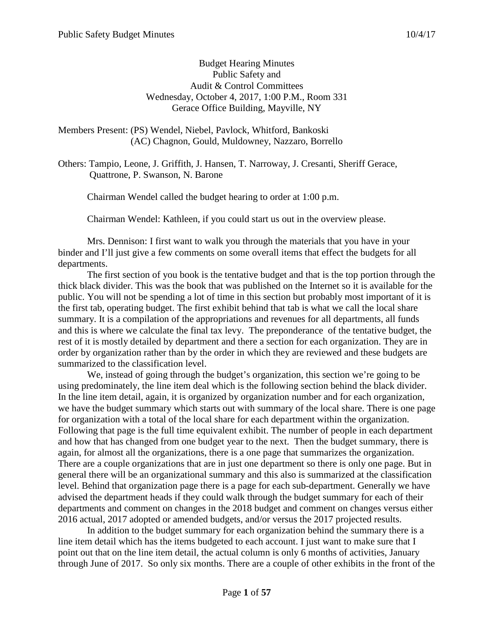#### Budget Hearing Minutes Public Safety and Audit & Control Committees Wednesday, October 4, 2017, 1:00 P.M., Room 331 Gerace Office Building, Mayville, NY

Members Present: (PS) Wendel, Niebel, Pavlock, Whitford, Bankoski (AC) Chagnon, Gould, Muldowney, Nazzaro, Borrello

Others: Tampio, Leone, J. Griffith, J. Hansen, T. Narroway, J. Cresanti, Sheriff Gerace, Quattrone, P. Swanson, N. Barone

Chairman Wendel called the budget hearing to order at 1:00 p.m.

Chairman Wendel: Kathleen, if you could start us out in the overview please.

Mrs. Dennison: I first want to walk you through the materials that you have in your binder and I'll just give a few comments on some overall items that effect the budgets for all departments.

The first section of you book is the tentative budget and that is the top portion through the thick black divider. This was the book that was published on the Internet so it is available for the public. You will not be spending a lot of time in this section but probably most important of it is the first tab, operating budget. The first exhibit behind that tab is what we call the local share summary. It is a compilation of the appropriations and revenues for all departments, all funds and this is where we calculate the final tax levy. The preponderance of the tentative budget, the rest of it is mostly detailed by department and there a section for each organization. They are in order by organization rather than by the order in which they are reviewed and these budgets are summarized to the classification level.

We, instead of going through the budget's organization, this section we're going to be using predominately, the line item deal which is the following section behind the black divider. In the line item detail, again, it is organized by organization number and for each organization, we have the budget summary which starts out with summary of the local share. There is one page for organization with a total of the local share for each department within the organization. Following that page is the full time equivalent exhibit. The number of people in each department and how that has changed from one budget year to the next. Then the budget summary, there is again, for almost all the organizations, there is a one page that summarizes the organization. There are a couple organizations that are in just one department so there is only one page. But in general there will be an organizational summary and this also is summarized at the classification level. Behind that organization page there is a page for each sub-department. Generally we have advised the department heads if they could walk through the budget summary for each of their departments and comment on changes in the 2018 budget and comment on changes versus either 2016 actual, 2017 adopted or amended budgets, and/or versus the 2017 projected results.

In addition to the budget summary for each organization behind the summary there is a line item detail which has the items budgeted to each account. I just want to make sure that I point out that on the line item detail, the actual column is only 6 months of activities, January through June of 2017. So only six months. There are a couple of other exhibits in the front of the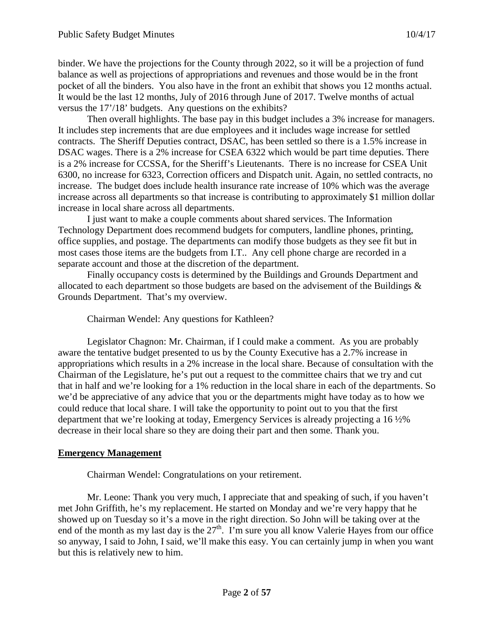binder. We have the projections for the County through 2022, so it will be a projection of fund balance as well as projections of appropriations and revenues and those would be in the front pocket of all the binders. You also have in the front an exhibit that shows you 12 months actual. It would be the last 12 months, July of 2016 through June of 2017. Twelve months of actual versus the 17'/18' budgets. Any questions on the exhibits?

Then overall highlights. The base pay in this budget includes a 3% increase for managers. It includes step increments that are due employees and it includes wage increase for settled contracts. The Sheriff Deputies contract, DSAC, has been settled so there is a 1.5% increase in DSAC wages. There is a 2% increase for CSEA 6322 which would be part time deputies. There is a 2% increase for CCSSA, for the Sheriff's Lieutenants. There is no increase for CSEA Unit 6300, no increase for 6323, Correction officers and Dispatch unit. Again, no settled contracts, no increase. The budget does include health insurance rate increase of 10% which was the average increase across all departments so that increase is contributing to approximately \$1 million dollar increase in local share across all departments.

I just want to make a couple comments about shared services. The Information Technology Department does recommend budgets for computers, landline phones, printing, office supplies, and postage. The departments can modify those budgets as they see fit but in most cases those items are the budgets from I.T.. Any cell phone charge are recorded in a separate account and those at the discretion of the department.

Finally occupancy costs is determined by the Buildings and Grounds Department and allocated to each department so those budgets are based on the advisement of the Buildings & Grounds Department. That's my overview.

Chairman Wendel: Any questions for Kathleen?

Legislator Chagnon: Mr. Chairman, if I could make a comment. As you are probably aware the tentative budget presented to us by the County Executive has a 2.7% increase in appropriations which results in a 2% increase in the local share. Because of consultation with the Chairman of the Legislature, he's put out a request to the committee chairs that we try and cut that in half and we're looking for a 1% reduction in the local share in each of the departments. So we'd be appreciative of any advice that you or the departments might have today as to how we could reduce that local share. I will take the opportunity to point out to you that the first department that we're looking at today, Emergency Services is already projecting a 16 ½% decrease in their local share so they are doing their part and then some. Thank you.

### **Emergency Management**

Chairman Wendel: Congratulations on your retirement.

Mr. Leone: Thank you very much, I appreciate that and speaking of such, if you haven't met John Griffith, he's my replacement. He started on Monday and we're very happy that he showed up on Tuesday so it's a move in the right direction. So John will be taking over at the end of the month as my last day is the  $27<sup>th</sup>$ . I'm sure you all know Valerie Hayes from our office so anyway, I said to John, I said, we'll make this easy. You can certainly jump in when you want but this is relatively new to him.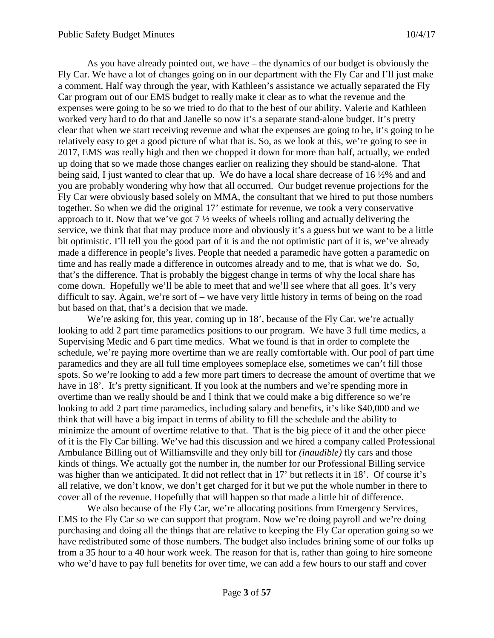As you have already pointed out, we have – the dynamics of our budget is obviously the Fly Car. We have a lot of changes going on in our department with the Fly Car and I'll just make a comment. Half way through the year, with Kathleen's assistance we actually separated the Fly Car program out of our EMS budget to really make it clear as to what the revenue and the expenses were going to be so we tried to do that to the best of our ability. Valerie and Kathleen worked very hard to do that and Janelle so now it's a separate stand-alone budget. It's pretty clear that when we start receiving revenue and what the expenses are going to be, it's going to be relatively easy to get a good picture of what that is. So, as we look at this, we're going to see in 2017, EMS was really high and then we chopped it down for more than half, actually, we ended up doing that so we made those changes earlier on realizing they should be stand-alone. That being said, I just wanted to clear that up. We do have a local share decrease of 16 ½% and and you are probably wondering why how that all occurred. Our budget revenue projections for the Fly Car were obviously based solely on MMA, the consultant that we hired to put those numbers together. So when we did the original 17' estimate for revenue, we took a very conservative approach to it. Now that we've got  $7\frac{1}{2}$  weeks of wheels rolling and actually delivering the service, we think that that may produce more and obviously it's a guess but we want to be a little bit optimistic. I'll tell you the good part of it is and the not optimistic part of it is, we've already made a difference in people's lives. People that needed a paramedic have gotten a paramedic on time and has really made a difference in outcomes already and to me, that is what we do. So, that's the difference. That is probably the biggest change in terms of why the local share has come down. Hopefully we'll be able to meet that and we'll see where that all goes. It's very difficult to say. Again, we're sort of – we have very little history in terms of being on the road but based on that, that's a decision that we made.

We're asking for, this year, coming up in 18', because of the Fly Car, we're actually looking to add 2 part time paramedics positions to our program. We have 3 full time medics, a Supervising Medic and 6 part time medics. What we found is that in order to complete the schedule, we're paying more overtime than we are really comfortable with. Our pool of part time paramedics and they are all full time employees someplace else, sometimes we can't fill those spots. So we're looking to add a few more part timers to decrease the amount of overtime that we have in 18'. It's pretty significant. If you look at the numbers and we're spending more in overtime than we really should be and I think that we could make a big difference so we're looking to add 2 part time paramedics, including salary and benefits, it's like \$40,000 and we think that will have a big impact in terms of ability to fill the schedule and the ability to minimize the amount of overtime relative to that. That is the big piece of it and the other piece of it is the Fly Car billing. We've had this discussion and we hired a company called Professional Ambulance Billing out of Williamsville and they only bill for *(inaudible)* fly cars and those kinds of things. We actually got the number in, the number for our Professional Billing service was higher than we anticipated. It did not reflect that in 17' but reflects it in 18'. Of course it's all relative, we don't know, we don't get charged for it but we put the whole number in there to cover all of the revenue. Hopefully that will happen so that made a little bit of difference.

We also because of the Fly Car, we're allocating positions from Emergency Services, EMS to the Fly Car so we can support that program. Now we're doing payroll and we're doing purchasing and doing all the things that are relative to keeping the Fly Car operation going so we have redistributed some of those numbers. The budget also includes brining some of our folks up from a 35 hour to a 40 hour work week. The reason for that is, rather than going to hire someone who we'd have to pay full benefits for over time, we can add a few hours to our staff and cover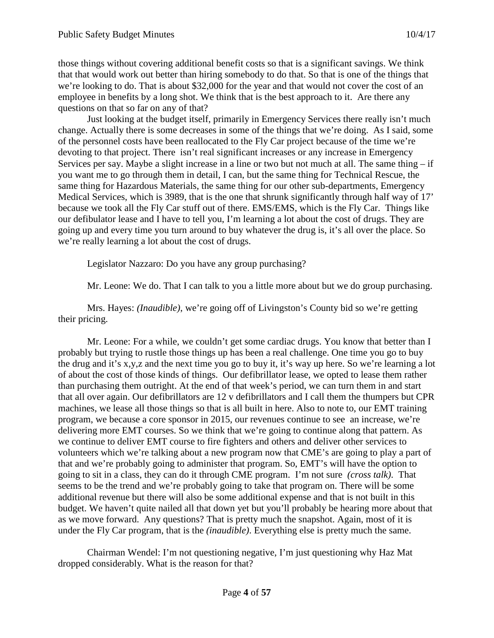those things without covering additional benefit costs so that is a significant savings. We think that that would work out better than hiring somebody to do that. So that is one of the things that we're looking to do. That is about \$32,000 for the year and that would not cover the cost of an employee in benefits by a long shot. We think that is the best approach to it. Are there any questions on that so far on any of that?

Just looking at the budget itself, primarily in Emergency Services there really isn't much change. Actually there is some decreases in some of the things that we're doing. As I said, some of the personnel costs have been reallocated to the Fly Car project because of the time we're devoting to that project. There isn't real significant increases or any increase in Emergency Services per say. Maybe a slight increase in a line or two but not much at all. The same thing – if you want me to go through them in detail, I can, but the same thing for Technical Rescue, the same thing for Hazardous Materials, the same thing for our other sub-departments, Emergency Medical Services, which is 3989, that is the one that shrunk significantly through half way of 17' because we took all the Fly Car stuff out of there. EMS/EMS, which is the Fly Car. Things like our defibulator lease and I have to tell you, I'm learning a lot about the cost of drugs. They are going up and every time you turn around to buy whatever the drug is, it's all over the place. So we're really learning a lot about the cost of drugs.

Legislator Nazzaro: Do you have any group purchasing?

Mr. Leone: We do. That I can talk to you a little more about but we do group purchasing.

Mrs. Hayes: *(Inaudible)*, we're going off of Livingston's County bid so we're getting their pricing.

Mr. Leone: For a while, we couldn't get some cardiac drugs. You know that better than I probably but trying to rustle those things up has been a real challenge. One time you go to buy the drug and it's x,y,z and the next time you go to buy it, it's way up here. So we're learning a lot of about the cost of those kinds of things. Our defibrillator lease, we opted to lease them rather than purchasing them outright. At the end of that week's period, we can turn them in and start that all over again. Our defibrillators are 12 v defibrillators and I call them the thumpers but CPR machines, we lease all those things so that is all built in here. Also to note to, our EMT training program, we because a core sponsor in 2015, our revenues continue to see an increase, we're delivering more EMT courses. So we think that we're going to continue along that pattern. As we continue to deliver EMT course to fire fighters and others and deliver other services to volunteers which we're talking about a new program now that CME's are going to play a part of that and we're probably going to administer that program. So, EMT's will have the option to going to sit in a class, they can do it through CME program. I'm not sure *(cross talk)*. That seems to be the trend and we're probably going to take that program on. There will be some additional revenue but there will also be some additional expense and that is not built in this budget. We haven't quite nailed all that down yet but you'll probably be hearing more about that as we move forward. Any questions? That is pretty much the snapshot. Again, most of it is under the Fly Car program, that is the *(inaudible)*. Everything else is pretty much the same.

Chairman Wendel: I'm not questioning negative, I'm just questioning why Haz Mat dropped considerably. What is the reason for that?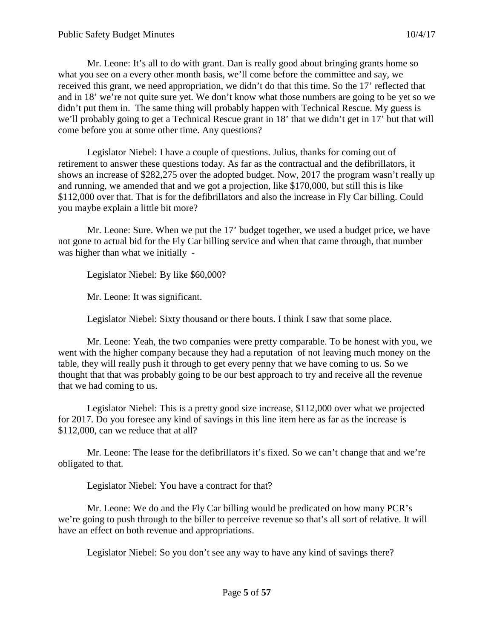Mr. Leone: It's all to do with grant. Dan is really good about bringing grants home so what you see on a every other month basis, we'll come before the committee and say, we received this grant, we need appropriation, we didn't do that this time. So the 17' reflected that and in 18' we're not quite sure yet. We don't know what those numbers are going to be yet so we didn't put them in. The same thing will probably happen with Technical Rescue. My guess is we'll probably going to get a Technical Rescue grant in 18' that we didn't get in 17' but that will come before you at some other time. Any questions?

Legislator Niebel: I have a couple of questions. Julius, thanks for coming out of retirement to answer these questions today. As far as the contractual and the defibrillators, it shows an increase of \$282,275 over the adopted budget. Now, 2017 the program wasn't really up and running, we amended that and we got a projection, like \$170,000, but still this is like \$112,000 over that. That is for the defibrillators and also the increase in Fly Car billing. Could you maybe explain a little bit more?

Mr. Leone: Sure. When we put the 17' budget together, we used a budget price, we have not gone to actual bid for the Fly Car billing service and when that came through, that number was higher than what we initially -

Legislator Niebel: By like \$60,000?

Mr. Leone: It was significant.

Legislator Niebel: Sixty thousand or there bouts. I think I saw that some place.

Mr. Leone: Yeah, the two companies were pretty comparable. To be honest with you, we went with the higher company because they had a reputation of not leaving much money on the table, they will really push it through to get every penny that we have coming to us. So we thought that that was probably going to be our best approach to try and receive all the revenue that we had coming to us.

Legislator Niebel: This is a pretty good size increase, \$112,000 over what we projected for 2017. Do you foresee any kind of savings in this line item here as far as the increase is \$112,000, can we reduce that at all?

Mr. Leone: The lease for the defibrillators it's fixed. So we can't change that and we're obligated to that.

Legislator Niebel: You have a contract for that?

Mr. Leone: We do and the Fly Car billing would be predicated on how many PCR's we're going to push through to the biller to perceive revenue so that's all sort of relative. It will have an effect on both revenue and appropriations.

Legislator Niebel: So you don't see any way to have any kind of savings there?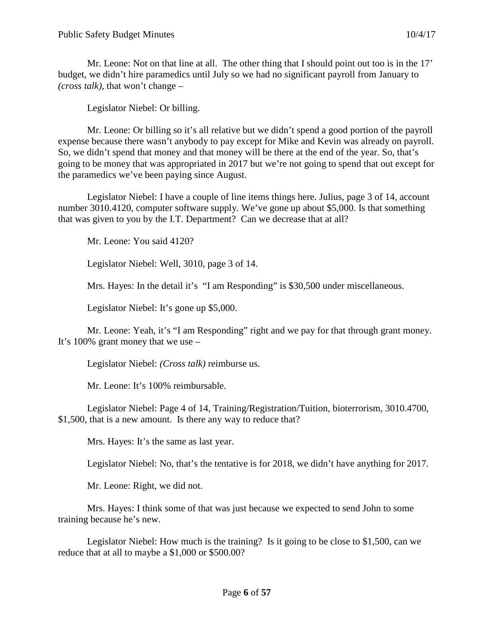Mr. Leone: Not on that line at all. The other thing that I should point out too is in the 17' budget, we didn't hire paramedics until July so we had no significant payroll from January to *(cross talk)*, that won't change –

Legislator Niebel: Or billing.

Mr. Leone: Or billing so it's all relative but we didn't spend a good portion of the payroll expense because there wasn't anybody to pay except for Mike and Kevin was already on payroll. So, we didn't spend that money and that money will be there at the end of the year. So, that's going to be money that was appropriated in 2017 but we're not going to spend that out except for the paramedics we've been paying since August.

Legislator Niebel: I have a couple of line items things here. Julius, page 3 of 14, account number 3010.4120, computer software supply. We've gone up about \$5,000. Is that something that was given to you by the I.T. Department? Can we decrease that at all?

Mr. Leone: You said 4120?

Legislator Niebel: Well, 3010, page 3 of 14.

Mrs. Hayes: In the detail it's "I am Responding" is \$30,500 under miscellaneous.

Legislator Niebel: It's gone up \$5,000.

Mr. Leone: Yeah, it's "I am Responding" right and we pay for that through grant money. It's 100% grant money that we use –

Legislator Niebel: *(Cross talk)* reimburse us.

Mr. Leone: It's 100% reimbursable.

Legislator Niebel: Page 4 of 14, Training/Registration/Tuition, bioterrorism, 3010.4700, \$1,500, that is a new amount. Is there any way to reduce that?

Mrs. Hayes: It's the same as last year.

Legislator Niebel: No, that's the tentative is for 2018, we didn't have anything for 2017.

Mr. Leone: Right, we did not.

Mrs. Hayes: I think some of that was just because we expected to send John to some training because he's new.

Legislator Niebel: How much is the training? Is it going to be close to \$1,500, can we reduce that at all to maybe a \$1,000 or \$500.00?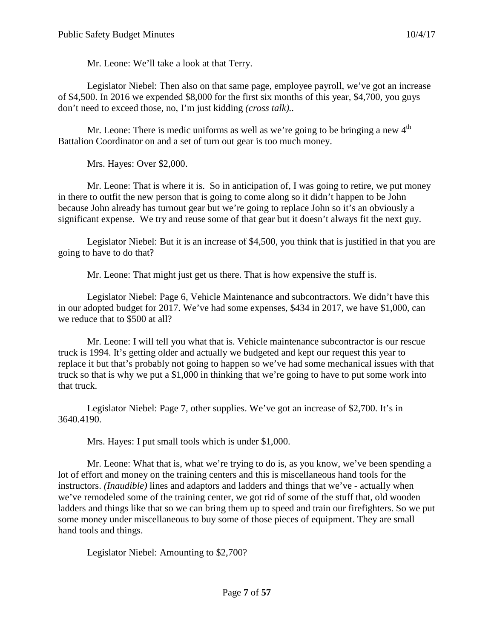Mr. Leone: We'll take a look at that Terry.

Legislator Niebel: Then also on that same page, employee payroll, we've got an increase of \$4,500. In 2016 we expended \$8,000 for the first six months of this year, \$4,700, you guys don't need to exceed those, no, I'm just kidding *(cross talk)..*

Mr. Leone: There is medic uniforms as well as we're going to be bringing a new  $4<sup>th</sup>$ Battalion Coordinator on and a set of turn out gear is too much money.

Mrs. Hayes: Over \$2,000.

Mr. Leone: That is where it is. So in anticipation of, I was going to retire, we put money in there to outfit the new person that is going to come along so it didn't happen to be John because John already has turnout gear but we're going to replace John so it's an obviously a significant expense. We try and reuse some of that gear but it doesn't always fit the next guy.

Legislator Niebel: But it is an increase of \$4,500, you think that is justified in that you are going to have to do that?

Mr. Leone: That might just get us there. That is how expensive the stuff is.

Legislator Niebel: Page 6, Vehicle Maintenance and subcontractors. We didn't have this in our adopted budget for 2017. We've had some expenses, \$434 in 2017, we have \$1,000, can we reduce that to \$500 at all?

Mr. Leone: I will tell you what that is. Vehicle maintenance subcontractor is our rescue truck is 1994. It's getting older and actually we budgeted and kept our request this year to replace it but that's probably not going to happen so we've had some mechanical issues with that truck so that is why we put a \$1,000 in thinking that we're going to have to put some work into that truck.

Legislator Niebel: Page 7, other supplies. We've got an increase of \$2,700. It's in 3640.4190.

Mrs. Hayes: I put small tools which is under \$1,000.

Mr. Leone: What that is, what we're trying to do is, as you know, we've been spending a lot of effort and money on the training centers and this is miscellaneous hand tools for the instructors. *(Inaudible)* lines and adaptors and ladders and things that we've - actually when we've remodeled some of the training center, we got rid of some of the stuff that, old wooden ladders and things like that so we can bring them up to speed and train our firefighters. So we put some money under miscellaneous to buy some of those pieces of equipment. They are small hand tools and things.

Legislator Niebel: Amounting to \$2,700?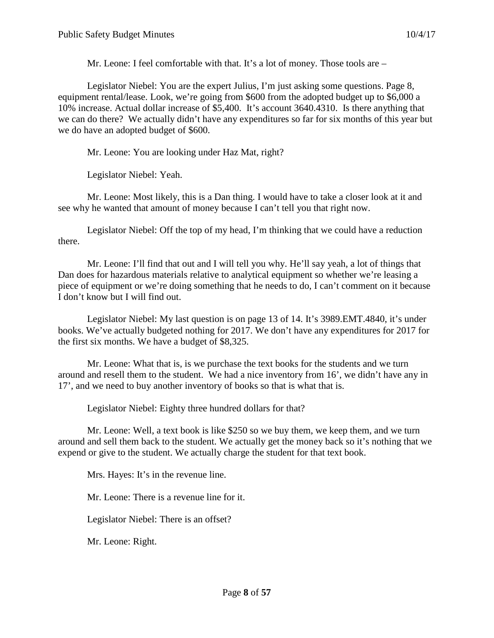Mr. Leone: I feel comfortable with that. It's a lot of money. Those tools are –

Legislator Niebel: You are the expert Julius, I'm just asking some questions. Page 8, equipment rental/lease. Look, we're going from \$600 from the adopted budget up to \$6,000 a 10% increase. Actual dollar increase of \$5,400. It's account 3640.4310. Is there anything that we can do there? We actually didn't have any expenditures so far for six months of this year but we do have an adopted budget of \$600.

Mr. Leone: You are looking under Haz Mat, right?

Legislator Niebel: Yeah.

Mr. Leone: Most likely, this is a Dan thing. I would have to take a closer look at it and see why he wanted that amount of money because I can't tell you that right now.

Legislator Niebel: Off the top of my head, I'm thinking that we could have a reduction there.

Mr. Leone: I'll find that out and I will tell you why. He'll say yeah, a lot of things that Dan does for hazardous materials relative to analytical equipment so whether we're leasing a piece of equipment or we're doing something that he needs to do, I can't comment on it because I don't know but I will find out.

Legislator Niebel: My last question is on page 13 of 14. It's 3989.EMT.4840, it's under books. We've actually budgeted nothing for 2017. We don't have any expenditures for 2017 for the first six months. We have a budget of \$8,325.

Mr. Leone: What that is, is we purchase the text books for the students and we turn around and resell them to the student. We had a nice inventory from 16', we didn't have any in 17', and we need to buy another inventory of books so that is what that is.

Legislator Niebel: Eighty three hundred dollars for that?

Mr. Leone: Well, a text book is like \$250 so we buy them, we keep them, and we turn around and sell them back to the student. We actually get the money back so it's nothing that we expend or give to the student. We actually charge the student for that text book.

Mrs. Hayes: It's in the revenue line.

Mr. Leone: There is a revenue line for it.

Legislator Niebel: There is an offset?

Mr. Leone: Right.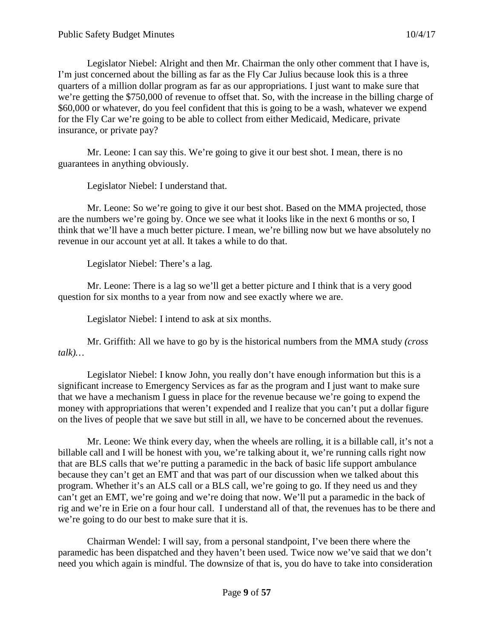Legislator Niebel: Alright and then Mr. Chairman the only other comment that I have is, I'm just concerned about the billing as far as the Fly Car Julius because look this is a three quarters of a million dollar program as far as our appropriations. I just want to make sure that we're getting the \$750,000 of revenue to offset that. So, with the increase in the billing charge of \$60,000 or whatever, do you feel confident that this is going to be a wash, whatever we expend for the Fly Car we're going to be able to collect from either Medicaid, Medicare, private insurance, or private pay?

Mr. Leone: I can say this. We're going to give it our best shot. I mean, there is no guarantees in anything obviously.

Legislator Niebel: I understand that.

Mr. Leone: So we're going to give it our best shot. Based on the MMA projected, those are the numbers we're going by. Once we see what it looks like in the next 6 months or so, I think that we'll have a much better picture. I mean, we're billing now but we have absolutely no revenue in our account yet at all. It takes a while to do that.

Legislator Niebel: There's a lag.

Mr. Leone: There is a lag so we'll get a better picture and I think that is a very good question for six months to a year from now and see exactly where we are.

Legislator Niebel: I intend to ask at six months.

Mr. Griffith: All we have to go by is the historical numbers from the MMA study *(cross talk)…*

Legislator Niebel: I know John, you really don't have enough information but this is a significant increase to Emergency Services as far as the program and I just want to make sure that we have a mechanism I guess in place for the revenue because we're going to expend the money with appropriations that weren't expended and I realize that you can't put a dollar figure on the lives of people that we save but still in all, we have to be concerned about the revenues.

Mr. Leone: We think every day, when the wheels are rolling, it is a billable call, it's not a billable call and I will be honest with you, we're talking about it, we're running calls right now that are BLS calls that we're putting a paramedic in the back of basic life support ambulance because they can't get an EMT and that was part of our discussion when we talked about this program. Whether it's an ALS call or a BLS call, we're going to go. If they need us and they can't get an EMT, we're going and we're doing that now. We'll put a paramedic in the back of rig and we're in Erie on a four hour call. I understand all of that, the revenues has to be there and we're going to do our best to make sure that it is.

Chairman Wendel: I will say, from a personal standpoint, I've been there where the paramedic has been dispatched and they haven't been used. Twice now we've said that we don't need you which again is mindful. The downsize of that is, you do have to take into consideration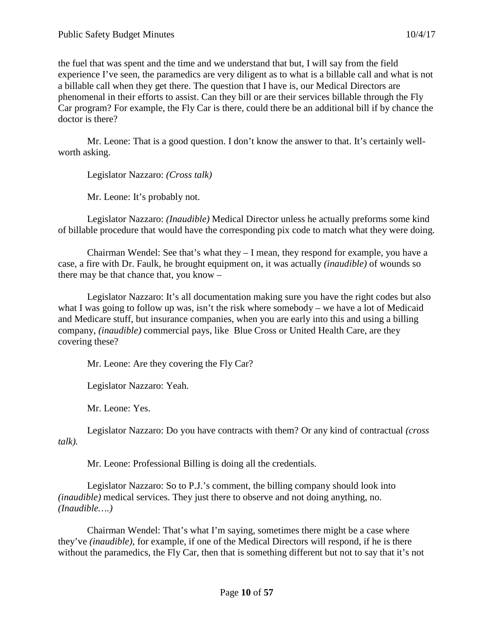the fuel that was spent and the time and we understand that but, I will say from the field experience I've seen, the paramedics are very diligent as to what is a billable call and what is not a billable call when they get there. The question that I have is, our Medical Directors are phenomenal in their efforts to assist. Can they bill or are their services billable through the Fly Car program? For example, the Fly Car is there, could there be an additional bill if by chance the doctor is there?

Mr. Leone: That is a good question. I don't know the answer to that. It's certainly wellworth asking.

Legislator Nazzaro: *(Cross talk)*

Mr. Leone: It's probably not.

Legislator Nazzaro: *(Inaudible)* Medical Director unless he actually preforms some kind of billable procedure that would have the corresponding pix code to match what they were doing.

Chairman Wendel: See that's what they – I mean, they respond for example, you have a case, a fire with Dr. Faulk, he brought equipment on, it was actually *(inaudible)* of wounds so there may be that chance that, you know –

Legislator Nazzaro: It's all documentation making sure you have the right codes but also what I was going to follow up was, isn't the risk where somebody – we have a lot of Medicaid and Medicare stuff, but insurance companies, when you are early into this and using a billing company, *(inaudible)* commercial pays, like Blue Cross or United Health Care, are they covering these?

Mr. Leone: Are they covering the Fly Car?

Legislator Nazzaro: Yeah.

Mr. Leone: Yes.

Legislator Nazzaro: Do you have contracts with them? Or any kind of contractual *(cross talk).*

Mr. Leone: Professional Billing is doing all the credentials.

Legislator Nazzaro: So to P.J.'s comment, the billing company should look into *(inaudible)* medical services. They just there to observe and not doing anything, no. *(Inaudible….)*

Chairman Wendel: That's what I'm saying, sometimes there might be a case where they've *(inaudible)*, for example, if one of the Medical Directors will respond, if he is there without the paramedics, the Fly Car, then that is something different but not to say that it's not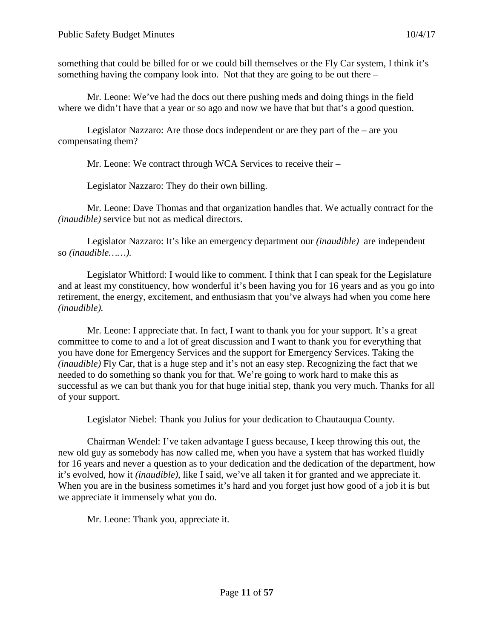something that could be billed for or we could bill themselves or the Fly Car system, I think it's something having the company look into. Not that they are going to be out there –

Mr. Leone: We've had the docs out there pushing meds and doing things in the field where we didn't have that a year or so ago and now we have that but that's a good question.

Legislator Nazzaro: Are those docs independent or are they part of the – are you compensating them?

Mr. Leone: We contract through WCA Services to receive their –

Legislator Nazzaro: They do their own billing.

Mr. Leone: Dave Thomas and that organization handles that. We actually contract for the *(inaudible)* service but not as medical directors.

Legislator Nazzaro: It's like an emergency department our *(inaudible)* are independent so *(inaudible……).*

Legislator Whitford: I would like to comment. I think that I can speak for the Legislature and at least my constituency, how wonderful it's been having you for 16 years and as you go into retirement, the energy, excitement, and enthusiasm that you've always had when you come here *(inaudible).*

Mr. Leone: I appreciate that. In fact, I want to thank you for your support. It's a great committee to come to and a lot of great discussion and I want to thank you for everything that you have done for Emergency Services and the support for Emergency Services. Taking the *(inaudible)* Fly Car, that is a huge step and it's not an easy step. Recognizing the fact that we needed to do something so thank you for that. We're going to work hard to make this as successful as we can but thank you for that huge initial step, thank you very much. Thanks for all of your support.

Legislator Niebel: Thank you Julius for your dedication to Chautauqua County.

Chairman Wendel: I've taken advantage I guess because, I keep throwing this out, the new old guy as somebody has now called me, when you have a system that has worked fluidly for 16 years and never a question as to your dedication and the dedication of the department, how it's evolved, how it *(inaudible)*, like I said, we've all taken it for granted and we appreciate it. When you are in the business sometimes it's hard and you forget just how good of a job it is but we appreciate it immensely what you do.

Mr. Leone: Thank you, appreciate it.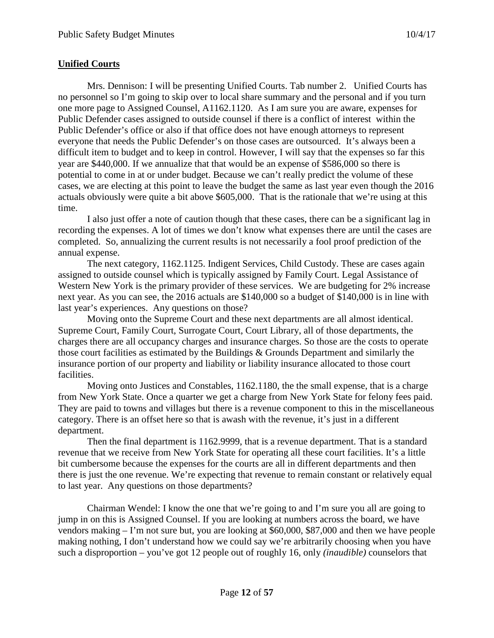# **Unified Courts**

Mrs. Dennison: I will be presenting Unified Courts. Tab number 2. Unified Courts has no personnel so I'm going to skip over to local share summary and the personal and if you turn one more page to Assigned Counsel, A1162.1120. As I am sure you are aware, expenses for Public Defender cases assigned to outside counsel if there is a conflict of interest within the Public Defender's office or also if that office does not have enough attorneys to represent everyone that needs the Public Defender's on those cases are outsourced. It's always been a difficult item to budget and to keep in control. However, I will say that the expenses so far this year are \$440,000. If we annualize that that would be an expense of \$586,000 so there is potential to come in at or under budget. Because we can't really predict the volume of these cases, we are electing at this point to leave the budget the same as last year even though the 2016 actuals obviously were quite a bit above \$605,000. That is the rationale that we're using at this time.

I also just offer a note of caution though that these cases, there can be a significant lag in recording the expenses. A lot of times we don't know what expenses there are until the cases are completed. So, annualizing the current results is not necessarily a fool proof prediction of the annual expense.

The next category, 1162.1125. Indigent Services, Child Custody. These are cases again assigned to outside counsel which is typically assigned by Family Court. Legal Assistance of Western New York is the primary provider of these services. We are budgeting for 2% increase next year. As you can see, the 2016 actuals are \$140,000 so a budget of \$140,000 is in line with last year's experiences. Any questions on those?

Moving onto the Supreme Court and these next departments are all almost identical. Supreme Court, Family Court, Surrogate Court, Court Library, all of those departments, the charges there are all occupancy charges and insurance charges. So those are the costs to operate those court facilities as estimated by the Buildings & Grounds Department and similarly the insurance portion of our property and liability or liability insurance allocated to those court facilities.

Moving onto Justices and Constables, 1162.1180, the the small expense, that is a charge from New York State. Once a quarter we get a charge from New York State for felony fees paid. They are paid to towns and villages but there is a revenue component to this in the miscellaneous category. There is an offset here so that is awash with the revenue, it's just in a different department.

Then the final department is 1162.9999, that is a revenue department. That is a standard revenue that we receive from New York State for operating all these court facilities. It's a little bit cumbersome because the expenses for the courts are all in different departments and then there is just the one revenue. We're expecting that revenue to remain constant or relatively equal to last year. Any questions on those departments?

Chairman Wendel: I know the one that we're going to and I'm sure you all are going to jump in on this is Assigned Counsel. If you are looking at numbers across the board, we have vendors making – I'm not sure but, you are looking at \$60,000, \$87,000 and then we have people making nothing, I don't understand how we could say we're arbitrarily choosing when you have such a disproportion – you've got 12 people out of roughly 16, only *(inaudible)* counselors that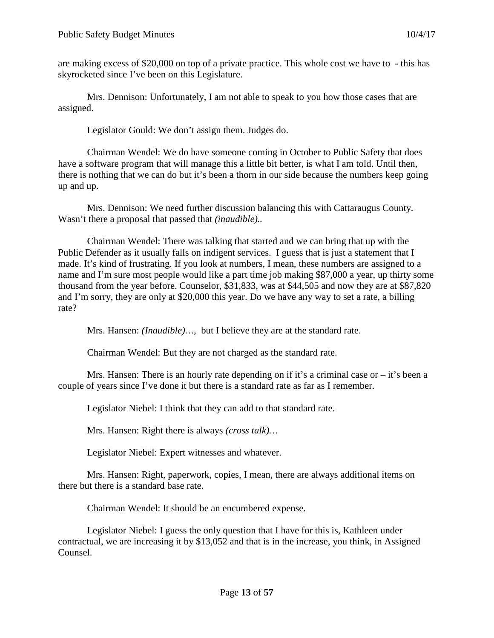are making excess of \$20,000 on top of a private practice. This whole cost we have to - this has skyrocketed since I've been on this Legislature.

Mrs. Dennison: Unfortunately, I am not able to speak to you how those cases that are assigned.

Legislator Gould: We don't assign them. Judges do.

Chairman Wendel: We do have someone coming in October to Public Safety that does have a software program that will manage this a little bit better, is what I am told. Until then, there is nothing that we can do but it's been a thorn in our side because the numbers keep going up and up.

Mrs. Dennison: We need further discussion balancing this with Cattaraugus County. Wasn't there a proposal that passed that *(inaudible)..*

Chairman Wendel: There was talking that started and we can bring that up with the Public Defender as it usually falls on indigent services. I guess that is just a statement that I made. It's kind of frustrating. If you look at numbers, I mean, these numbers are assigned to a name and I'm sure most people would like a part time job making \$87,000 a year, up thirty some thousand from the year before. Counselor, \$31,833, was at \$44,505 and now they are at \$87,820 and I'm sorry, they are only at \$20,000 this year. Do we have any way to set a rate, a billing rate?

Mrs. Hansen: *(Inaudible)…,* but I believe they are at the standard rate.

Chairman Wendel: But they are not charged as the standard rate.

Mrs. Hansen: There is an hourly rate depending on if it's a criminal case or  $-$  it's been a couple of years since I've done it but there is a standard rate as far as I remember.

Legislator Niebel: I think that they can add to that standard rate.

Mrs. Hansen: Right there is always *(cross talk)…*

Legislator Niebel: Expert witnesses and whatever.

Mrs. Hansen: Right, paperwork, copies, I mean, there are always additional items on there but there is a standard base rate.

Chairman Wendel: It should be an encumbered expense.

Legislator Niebel: I guess the only question that I have for this is, Kathleen under contractual, we are increasing it by \$13,052 and that is in the increase, you think, in Assigned Counsel.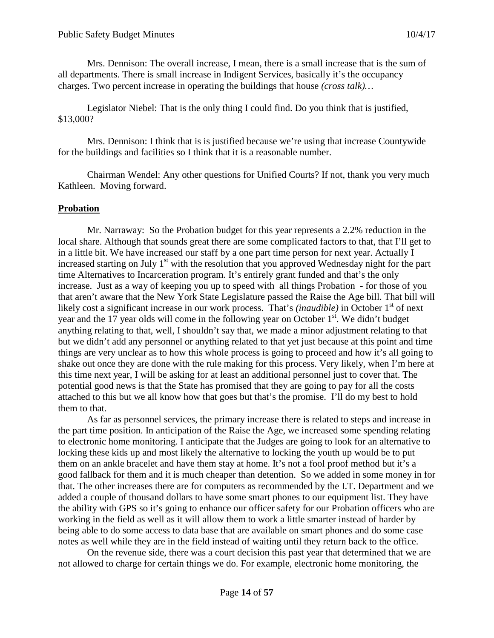Mrs. Dennison: The overall increase, I mean, there is a small increase that is the sum of all departments. There is small increase in Indigent Services, basically it's the occupancy charges. Two percent increase in operating the buildings that house *(cross talk)…*

Legislator Niebel: That is the only thing I could find. Do you think that is justified, \$13,000?

Mrs. Dennison: I think that is is justified because we're using that increase Countywide for the buildings and facilities so I think that it is a reasonable number.

Chairman Wendel: Any other questions for Unified Courts? If not, thank you very much Kathleen. Moving forward.

### **Probation**

Mr. Narraway: So the Probation budget for this year represents a 2.2% reduction in the local share. Although that sounds great there are some complicated factors to that, that I'll get to in a little bit. We have increased our staff by a one part time person for next year. Actually I increased starting on July 1<sup>st</sup> with the resolution that you approved Wednesday night for the part time Alternatives to Incarceration program. It's entirely grant funded and that's the only increase. Just as a way of keeping you up to speed with all things Probation - for those of you that aren't aware that the New York State Legislature passed the Raise the Age bill. That bill will likely cost a significant increase in our work process. That's *(inaudible)* in October 1<sup>st</sup> of next year and the 17 year olds will come in the following year on October 1<sup>st</sup>. We didn't budget anything relating to that, well, I shouldn't say that, we made a minor adjustment relating to that but we didn't add any personnel or anything related to that yet just because at this point and time things are very unclear as to how this whole process is going to proceed and how it's all going to shake out once they are done with the rule making for this process. Very likely, when I'm here at this time next year, I will be asking for at least an additional personnel just to cover that. The potential good news is that the State has promised that they are going to pay for all the costs attached to this but we all know how that goes but that's the promise. I'll do my best to hold them to that.

As far as personnel services, the primary increase there is related to steps and increase in the part time position. In anticipation of the Raise the Age, we increased some spending relating to electronic home monitoring. I anticipate that the Judges are going to look for an alternative to locking these kids up and most likely the alternative to locking the youth up would be to put them on an ankle bracelet and have them stay at home. It's not a fool proof method but it's a good fallback for them and it is much cheaper than detention. So we added in some money in for that. The other increases there are for computers as recommended by the I.T. Department and we added a couple of thousand dollars to have some smart phones to our equipment list. They have the ability with GPS so it's going to enhance our officer safety for our Probation officers who are working in the field as well as it will allow them to work a little smarter instead of harder by being able to do some access to data base that are available on smart phones and do some case notes as well while they are in the field instead of waiting until they return back to the office.

On the revenue side, there was a court decision this past year that determined that we are not allowed to charge for certain things we do. For example, electronic home monitoring, the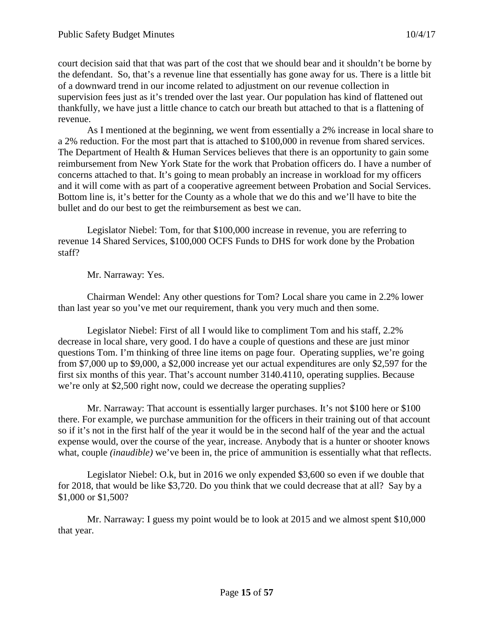court decision said that that was part of the cost that we should bear and it shouldn't be borne by the defendant. So, that's a revenue line that essentially has gone away for us. There is a little bit of a downward trend in our income related to adjustment on our revenue collection in supervision fees just as it's trended over the last year. Our population has kind of flattened out thankfully, we have just a little chance to catch our breath but attached to that is a flattening of revenue.

As I mentioned at the beginning, we went from essentially a 2% increase in local share to a 2% reduction. For the most part that is attached to \$100,000 in revenue from shared services. The Department of Health & Human Services believes that there is an opportunity to gain some reimbursement from New York State for the work that Probation officers do. I have a number of concerns attached to that. It's going to mean probably an increase in workload for my officers and it will come with as part of a cooperative agreement between Probation and Social Services. Bottom line is, it's better for the County as a whole that we do this and we'll have to bite the bullet and do our best to get the reimbursement as best we can.

Legislator Niebel: Tom, for that \$100,000 increase in revenue, you are referring to revenue 14 Shared Services, \$100,000 OCFS Funds to DHS for work done by the Probation staff?

Mr. Narraway: Yes.

Chairman Wendel: Any other questions for Tom? Local share you came in 2.2% lower than last year so you've met our requirement, thank you very much and then some.

Legislator Niebel: First of all I would like to compliment Tom and his staff, 2.2% decrease in local share, very good. I do have a couple of questions and these are just minor questions Tom. I'm thinking of three line items on page four. Operating supplies, we're going from \$7,000 up to \$9,000, a \$2,000 increase yet our actual expenditures are only \$2,597 for the first six months of this year. That's account number 3140.4110, operating supplies. Because we're only at \$2,500 right now, could we decrease the operating supplies?

Mr. Narraway: That account is essentially larger purchases. It's not \$100 here or \$100 there. For example, we purchase ammunition for the officers in their training out of that account so if it's not in the first half of the year it would be in the second half of the year and the actual expense would, over the course of the year, increase. Anybody that is a hunter or shooter knows what, couple *(inaudible)* we've been in, the price of ammunition is essentially what that reflects.

Legislator Niebel: O.k, but in 2016 we only expended \$3,600 so even if we double that for 2018, that would be like \$3,720. Do you think that we could decrease that at all? Say by a \$1,000 or \$1,500?

Mr. Narraway: I guess my point would be to look at 2015 and we almost spent \$10,000 that year.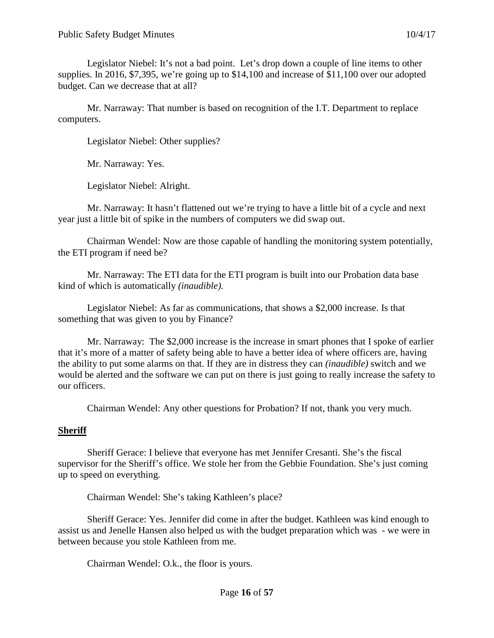Legislator Niebel: It's not a bad point. Let's drop down a couple of line items to other supplies. In 2016, \$7,395, we're going up to \$14,100 and increase of \$11,100 over our adopted budget. Can we decrease that at all?

Mr. Narraway: That number is based on recognition of the I.T. Department to replace computers.

Legislator Niebel: Other supplies?

Mr. Narraway: Yes.

Legislator Niebel: Alright.

Mr. Narraway: It hasn't flattened out we're trying to have a little bit of a cycle and next year just a little bit of spike in the numbers of computers we did swap out.

Chairman Wendel: Now are those capable of handling the monitoring system potentially, the ETI program if need be?

Mr. Narraway: The ETI data for the ETI program is built into our Probation data base kind of which is automatically *(inaudible).*

Legislator Niebel: As far as communications, that shows a \$2,000 increase. Is that something that was given to you by Finance?

Mr. Narraway: The \$2,000 increase is the increase in smart phones that I spoke of earlier that it's more of a matter of safety being able to have a better idea of where officers are, having the ability to put some alarms on that. If they are in distress they can *(inaudible)* switch and we would be alerted and the software we can put on there is just going to really increase the safety to our officers.

Chairman Wendel: Any other questions for Probation? If not, thank you very much.

### **Sheriff**

Sheriff Gerace: I believe that everyone has met Jennifer Cresanti. She's the fiscal supervisor for the Sheriff's office. We stole her from the Gebbie Foundation. She's just coming up to speed on everything.

Chairman Wendel: She's taking Kathleen's place?

Sheriff Gerace: Yes. Jennifer did come in after the budget. Kathleen was kind enough to assist us and Jenelle Hansen also helped us with the budget preparation which was - we were in between because you stole Kathleen from me.

Chairman Wendel: O.k., the floor is yours.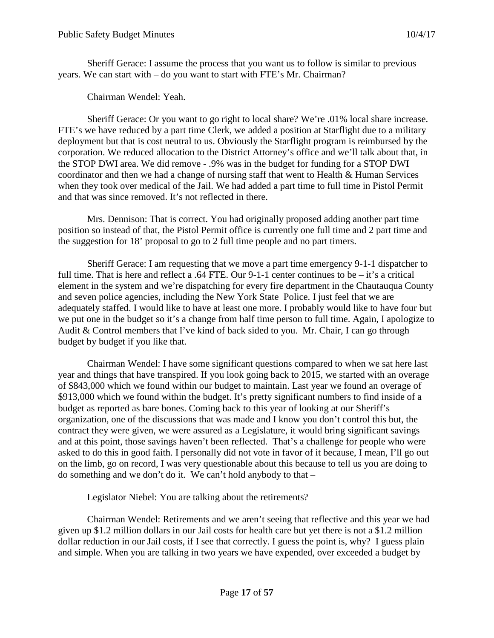Sheriff Gerace: I assume the process that you want us to follow is similar to previous years. We can start with – do you want to start with FTE's Mr. Chairman?

Chairman Wendel: Yeah.

Sheriff Gerace: Or you want to go right to local share? We're .01% local share increase. FTE's we have reduced by a part time Clerk, we added a position at Starflight due to a military deployment but that is cost neutral to us. Obviously the Starflight program is reimbursed by the corporation. We reduced allocation to the District Attorney's office and we'll talk about that, in the STOP DWI area. We did remove - .9% was in the budget for funding for a STOP DWI coordinator and then we had a change of nursing staff that went to Health & Human Services when they took over medical of the Jail. We had added a part time to full time in Pistol Permit and that was since removed. It's not reflected in there.

Mrs. Dennison: That is correct. You had originally proposed adding another part time position so instead of that, the Pistol Permit office is currently one full time and 2 part time and the suggestion for 18' proposal to go to 2 full time people and no part timers.

Sheriff Gerace: I am requesting that we move a part time emergency 9-1-1 dispatcher to full time. That is here and reflect a .64 FTE. Our 9-1-1 center continues to be – it's a critical element in the system and we're dispatching for every fire department in the Chautauqua County and seven police agencies, including the New York State Police. I just feel that we are adequately staffed. I would like to have at least one more. I probably would like to have four but we put one in the budget so it's a change from half time person to full time. Again, I apologize to Audit & Control members that I've kind of back sided to you. Mr. Chair, I can go through budget by budget if you like that.

Chairman Wendel: I have some significant questions compared to when we sat here last year and things that have transpired. If you look going back to 2015, we started with an overage of \$843,000 which we found within our budget to maintain. Last year we found an overage of \$913,000 which we found within the budget. It's pretty significant numbers to find inside of a budget as reported as bare bones. Coming back to this year of looking at our Sheriff's organization, one of the discussions that was made and I know you don't control this but, the contract they were given, we were assured as a Legislature, it would bring significant savings and at this point, those savings haven't been reflected. That's a challenge for people who were asked to do this in good faith. I personally did not vote in favor of it because, I mean, I'll go out on the limb, go on record, I was very questionable about this because to tell us you are doing to do something and we don't do it. We can't hold anybody to that –

Legislator Niebel: You are talking about the retirements?

Chairman Wendel: Retirements and we aren't seeing that reflective and this year we had given up \$1.2 million dollars in our Jail costs for health care but yet there is not a \$1.2 million dollar reduction in our Jail costs, if I see that correctly. I guess the point is, why? I guess plain and simple. When you are talking in two years we have expended, over exceeded a budget by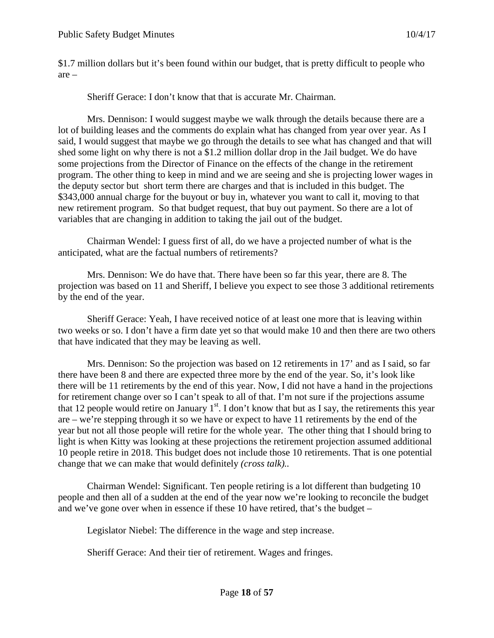\$1.7 million dollars but it's been found within our budget, that is pretty difficult to people who are –

Sheriff Gerace: I don't know that that is accurate Mr. Chairman.

Mrs. Dennison: I would suggest maybe we walk through the details because there are a lot of building leases and the comments do explain what has changed from year over year. As I said, I would suggest that maybe we go through the details to see what has changed and that will shed some light on why there is not a \$1.2 million dollar drop in the Jail budget. We do have some projections from the Director of Finance on the effects of the change in the retirement program. The other thing to keep in mind and we are seeing and she is projecting lower wages in the deputy sector but short term there are charges and that is included in this budget. The \$343,000 annual charge for the buyout or buy in, whatever you want to call it, moving to that new retirement program. So that budget request, that buy out payment. So there are a lot of variables that are changing in addition to taking the jail out of the budget.

Chairman Wendel: I guess first of all, do we have a projected number of what is the anticipated, what are the factual numbers of retirements?

Mrs. Dennison: We do have that. There have been so far this year, there are 8. The projection was based on 11 and Sheriff, I believe you expect to see those 3 additional retirements by the end of the year.

Sheriff Gerace: Yeah, I have received notice of at least one more that is leaving within two weeks or so. I don't have a firm date yet so that would make 10 and then there are two others that have indicated that they may be leaving as well.

Mrs. Dennison: So the projection was based on 12 retirements in 17' and as I said, so far there have been 8 and there are expected three more by the end of the year. So, it's look like there will be 11 retirements by the end of this year. Now, I did not have a hand in the projections for retirement change over so I can't speak to all of that. I'm not sure if the projections assume that 12 people would retire on January  $1<sup>st</sup>$ . I don't know that but as I say, the retirements this year are – we're stepping through it so we have or expect to have 11 retirements by the end of the year but not all those people will retire for the whole year. The other thing that I should bring to light is when Kitty was looking at these projections the retirement projection assumed additional 10 people retire in 2018. This budget does not include those 10 retirements. That is one potential change that we can make that would definitely *(cross talk)..*

Chairman Wendel: Significant. Ten people retiring is a lot different than budgeting 10 people and then all of a sudden at the end of the year now we're looking to reconcile the budget and we've gone over when in essence if these 10 have retired, that's the budget –

Legislator Niebel: The difference in the wage and step increase.

Sheriff Gerace: And their tier of retirement. Wages and fringes.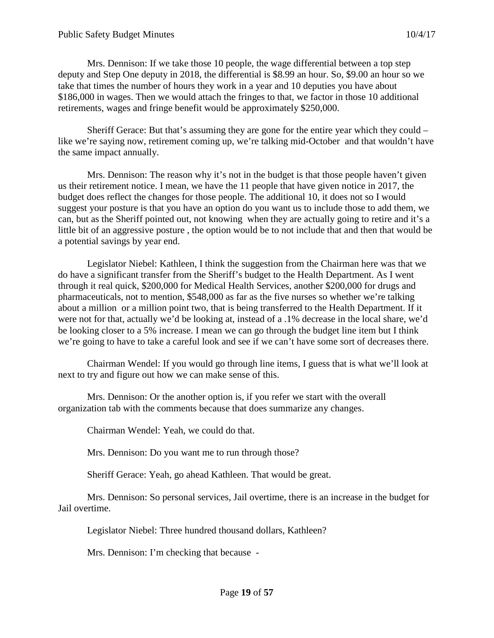Mrs. Dennison: If we take those 10 people, the wage differential between a top step deputy and Step One deputy in 2018, the differential is \$8.99 an hour. So, \$9.00 an hour so we take that times the number of hours they work in a year and 10 deputies you have about \$186,000 in wages. Then we would attach the fringes to that, we factor in those 10 additional retirements, wages and fringe benefit would be approximately \$250,000.

Sheriff Gerace: But that's assuming they are gone for the entire year which they could – like we're saying now, retirement coming up, we're talking mid-October and that wouldn't have the same impact annually.

Mrs. Dennison: The reason why it's not in the budget is that those people haven't given us their retirement notice. I mean, we have the 11 people that have given notice in 2017, the budget does reflect the changes for those people. The additional 10, it does not so I would suggest your posture is that you have an option do you want us to include those to add them, we can, but as the Sheriff pointed out, not knowing when they are actually going to retire and it's a little bit of an aggressive posture , the option would be to not include that and then that would be a potential savings by year end.

Legislator Niebel: Kathleen, I think the suggestion from the Chairman here was that we do have a significant transfer from the Sheriff's budget to the Health Department. As I went through it real quick, \$200,000 for Medical Health Services, another \$200,000 for drugs and pharmaceuticals, not to mention, \$548,000 as far as the five nurses so whether we're talking about a million or a million point two, that is being transferred to the Health Department. If it were not for that, actually we'd be looking at, instead of a .1% decrease in the local share, we'd be looking closer to a 5% increase. I mean we can go through the budget line item but I think we're going to have to take a careful look and see if we can't have some sort of decreases there.

Chairman Wendel: If you would go through line items, I guess that is what we'll look at next to try and figure out how we can make sense of this.

Mrs. Dennison: Or the another option is, if you refer we start with the overall organization tab with the comments because that does summarize any changes.

Chairman Wendel: Yeah, we could do that.

Mrs. Dennison: Do you want me to run through those?

Sheriff Gerace: Yeah, go ahead Kathleen. That would be great.

Mrs. Dennison: So personal services, Jail overtime, there is an increase in the budget for Jail overtime.

Legislator Niebel: Three hundred thousand dollars, Kathleen?

Mrs. Dennison: I'm checking that because -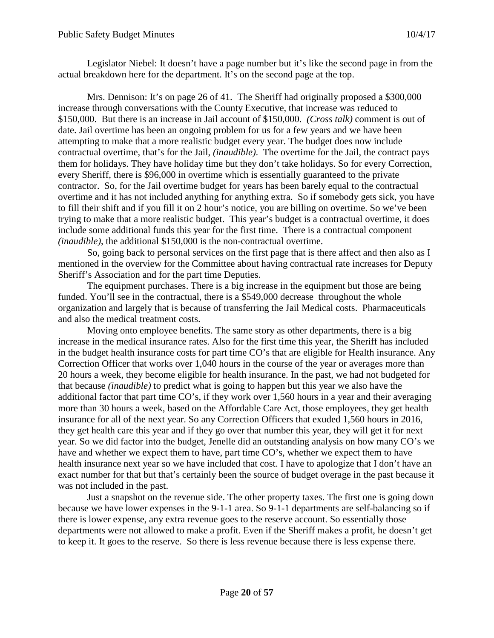Legislator Niebel: It doesn't have a page number but it's like the second page in from the actual breakdown here for the department. It's on the second page at the top.

Mrs. Dennison: It's on page 26 of 41. The Sheriff had originally proposed a \$300,000 increase through conversations with the County Executive, that increase was reduced to \$150,000. But there is an increase in Jail account of \$150,000. *(Cross talk)* comment is out of date. Jail overtime has been an ongoing problem for us for a few years and we have been attempting to make that a more realistic budget every year. The budget does now include contractual overtime, that's for the Jail, *(inaudible)*. The overtime for the Jail, the contract pays them for holidays. They have holiday time but they don't take holidays. So for every Correction, every Sheriff, there is \$96,000 in overtime which is essentially guaranteed to the private contractor. So, for the Jail overtime budget for years has been barely equal to the contractual overtime and it has not included anything for anything extra. So if somebody gets sick, you have to fill their shift and if you fill it on 2 hour's notice, you are billing on overtime. So we've been trying to make that a more realistic budget. This year's budget is a contractual overtime, it does include some additional funds this year for the first time. There is a contractual component *(inaudible)*, the additional \$150,000 is the non-contractual overtime.

So, going back to personal services on the first page that is there affect and then also as I mentioned in the overview for the Committee about having contractual rate increases for Deputy Sheriff's Association and for the part time Deputies.

The equipment purchases. There is a big increase in the equipment but those are being funded. You'll see in the contractual, there is a \$549,000 decrease throughout the whole organization and largely that is because of transferring the Jail Medical costs. Pharmaceuticals and also the medical treatment costs.

Moving onto employee benefits. The same story as other departments, there is a big increase in the medical insurance rates. Also for the first time this year, the Sheriff has included in the budget health insurance costs for part time CO's that are eligible for Health insurance. Any Correction Officer that works over 1,040 hours in the course of the year or averages more than 20 hours a week, they become eligible for health insurance. In the past, we had not budgeted for that because *(inaudible)* to predict what is going to happen but this year we also have the additional factor that part time CO's, if they work over 1,560 hours in a year and their averaging more than 30 hours a week, based on the Affordable Care Act, those employees, they get health insurance for all of the next year. So any Correction Officers that exuded 1,560 hours in 2016, they get health care this year and if they go over that number this year, they will get it for next year. So we did factor into the budget, Jenelle did an outstanding analysis on how many CO's we have and whether we expect them to have, part time CO's, whether we expect them to have health insurance next year so we have included that cost. I have to apologize that I don't have an exact number for that but that's certainly been the source of budget overage in the past because it was not included in the past.

Just a snapshot on the revenue side. The other property taxes. The first one is going down because we have lower expenses in the 9-1-1 area. So 9-1-1 departments are self-balancing so if there is lower expense, any extra revenue goes to the reserve account. So essentially those departments were not allowed to make a profit. Even if the Sheriff makes a profit, he doesn't get to keep it. It goes to the reserve. So there is less revenue because there is less expense there.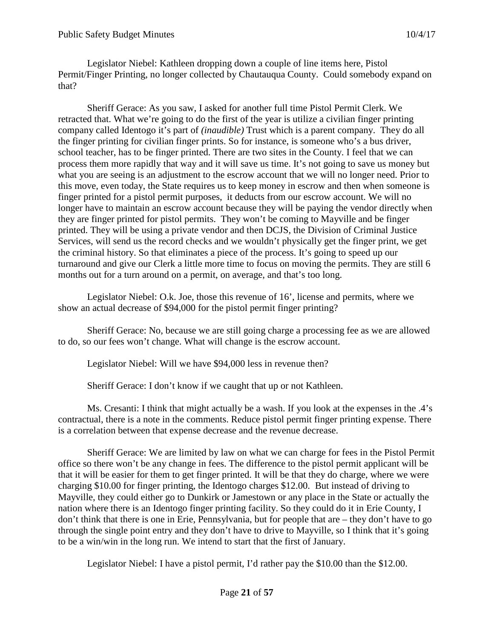Legislator Niebel: Kathleen dropping down a couple of line items here, Pistol Permit/Finger Printing, no longer collected by Chautauqua County. Could somebody expand on that?

Sheriff Gerace: As you saw, I asked for another full time Pistol Permit Clerk. We retracted that. What we're going to do the first of the year is utilize a civilian finger printing company called Identogo it's part of *(inaudible)* Trust which is a parent company. They do all the finger printing for civilian finger prints. So for instance, is someone who's a bus driver, school teacher, has to be finger printed. There are two sites in the County. I feel that we can process them more rapidly that way and it will save us time. It's not going to save us money but what you are seeing is an adjustment to the escrow account that we will no longer need. Prior to this move, even today, the State requires us to keep money in escrow and then when someone is finger printed for a pistol permit purposes, it deducts from our escrow account. We will no longer have to maintain an escrow account because they will be paying the vendor directly when they are finger printed for pistol permits. They won't be coming to Mayville and be finger printed. They will be using a private vendor and then DCJS, the Division of Criminal Justice Services, will send us the record checks and we wouldn't physically get the finger print, we get the criminal history. So that eliminates a piece of the process. It's going to speed up our turnaround and give our Clerk a little more time to focus on moving the permits. They are still 6 months out for a turn around on a permit, on average, and that's too long.

Legislator Niebel: O.k. Joe, those this revenue of 16', license and permits, where we show an actual decrease of \$94,000 for the pistol permit finger printing?

Sheriff Gerace: No, because we are still going charge a processing fee as we are allowed to do, so our fees won't change. What will change is the escrow account.

Legislator Niebel: Will we have \$94,000 less in revenue then?

Sheriff Gerace: I don't know if we caught that up or not Kathleen.

Ms. Cresanti: I think that might actually be a wash. If you look at the expenses in the .4's contractual, there is a note in the comments. Reduce pistol permit finger printing expense. There is a correlation between that expense decrease and the revenue decrease.

Sheriff Gerace: We are limited by law on what we can charge for fees in the Pistol Permit office so there won't be any change in fees. The difference to the pistol permit applicant will be that it will be easier for them to get finger printed. It will be that they do charge, where we were charging \$10.00 for finger printing, the Identogo charges \$12.00. But instead of driving to Mayville, they could either go to Dunkirk or Jamestown or any place in the State or actually the nation where there is an Identogo finger printing facility. So they could do it in Erie County, I don't think that there is one in Erie, Pennsylvania, but for people that are – they don't have to go through the single point entry and they don't have to drive to Mayville, so I think that it's going to be a win/win in the long run. We intend to start that the first of January.

Legislator Niebel: I have a pistol permit, I'd rather pay the \$10.00 than the \$12.00.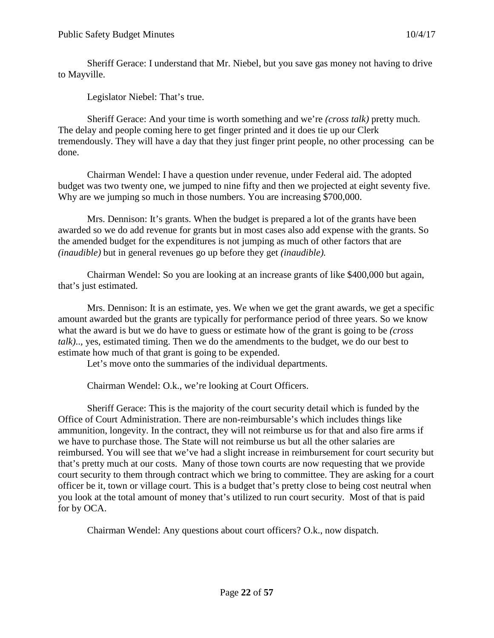Sheriff Gerace: I understand that Mr. Niebel, but you save gas money not having to drive to Mayville.

Legislator Niebel: That's true.

Sheriff Gerace: And your time is worth something and we're *(cross talk)* pretty much. The delay and people coming here to get finger printed and it does tie up our Clerk tremendously. They will have a day that they just finger print people, no other processing can be done.

Chairman Wendel: I have a question under revenue, under Federal aid. The adopted budget was two twenty one, we jumped to nine fifty and then we projected at eight seventy five. Why are we jumping so much in those numbers. You are increasing \$700,000.

Mrs. Dennison: It's grants. When the budget is prepared a lot of the grants have been awarded so we do add revenue for grants but in most cases also add expense with the grants. So the amended budget for the expenditures is not jumping as much of other factors that are *(inaudible)* but in general revenues go up before they get *(inaudible).*

Chairman Wendel: So you are looking at an increase grants of like \$400,000 but again, that's just estimated.

Mrs. Dennison: It is an estimate, yes. We when we get the grant awards, we get a specific amount awarded but the grants are typically for performance period of three years. So we know what the award is but we do have to guess or estimate how of the grant is going to be *(cross talk)*..*,* yes, estimated timing. Then we do the amendments to the budget, we do our best to estimate how much of that grant is going to be expended.

Let's move onto the summaries of the individual departments.

Chairman Wendel: O.k., we're looking at Court Officers.

Sheriff Gerace: This is the majority of the court security detail which is funded by the Office of Court Administration. There are non-reimbursable's which includes things like ammunition, longevity. In the contract, they will not reimburse us for that and also fire arms if we have to purchase those. The State will not reimburse us but all the other salaries are reimbursed. You will see that we've had a slight increase in reimbursement for court security but that's pretty much at our costs. Many of those town courts are now requesting that we provide court security to them through contract which we bring to committee. They are asking for a court officer be it, town or village court. This is a budget that's pretty close to being cost neutral when you look at the total amount of money that's utilized to run court security. Most of that is paid for by OCA.

Chairman Wendel: Any questions about court officers? O.k., now dispatch.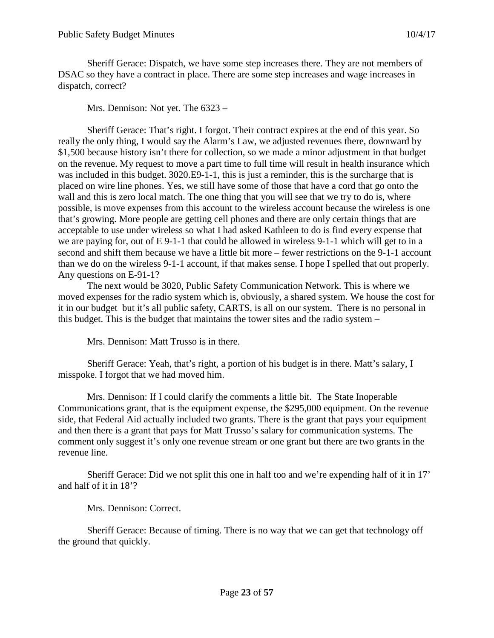Sheriff Gerace: Dispatch, we have some step increases there. They are not members of DSAC so they have a contract in place. There are some step increases and wage increases in dispatch, correct?

Mrs. Dennison: Not yet. The 6323 –

Sheriff Gerace: That's right. I forgot. Their contract expires at the end of this year. So really the only thing, I would say the Alarm's Law, we adjusted revenues there, downward by \$1,500 because history isn't there for collection, so we made a minor adjustment in that budget on the revenue. My request to move a part time to full time will result in health insurance which was included in this budget. 3020.E9-1-1, this is just a reminder, this is the surcharge that is placed on wire line phones. Yes, we still have some of those that have a cord that go onto the wall and this is zero local match. The one thing that you will see that we try to do is, where possible, is move expenses from this account to the wireless account because the wireless is one that's growing. More people are getting cell phones and there are only certain things that are acceptable to use under wireless so what I had asked Kathleen to do is find every expense that we are paying for, out of E 9-1-1 that could be allowed in wireless 9-1-1 which will get to in a second and shift them because we have a little bit more – fewer restrictions on the 9-1-1 account than we do on the wireless 9-1-1 account, if that makes sense. I hope I spelled that out properly. Any questions on E-91-1?

The next would be 3020, Public Safety Communication Network. This is where we moved expenses for the radio system which is, obviously, a shared system. We house the cost for it in our budget but it's all public safety, CARTS, is all on our system. There is no personal in this budget. This is the budget that maintains the tower sites and the radio system –

Mrs. Dennison: Matt Trusso is in there.

Sheriff Gerace: Yeah, that's right, a portion of his budget is in there. Matt's salary, I misspoke. I forgot that we had moved him.

Mrs. Dennison: If I could clarify the comments a little bit. The State Inoperable Communications grant, that is the equipment expense, the \$295,000 equipment. On the revenue side, that Federal Aid actually included two grants. There is the grant that pays your equipment and then there is a grant that pays for Matt Trusso's salary for communication systems. The comment only suggest it's only one revenue stream or one grant but there are two grants in the revenue line.

Sheriff Gerace: Did we not split this one in half too and we're expending half of it in 17' and half of it in 18'?

Mrs. Dennison: Correct.

Sheriff Gerace: Because of timing. There is no way that we can get that technology off the ground that quickly.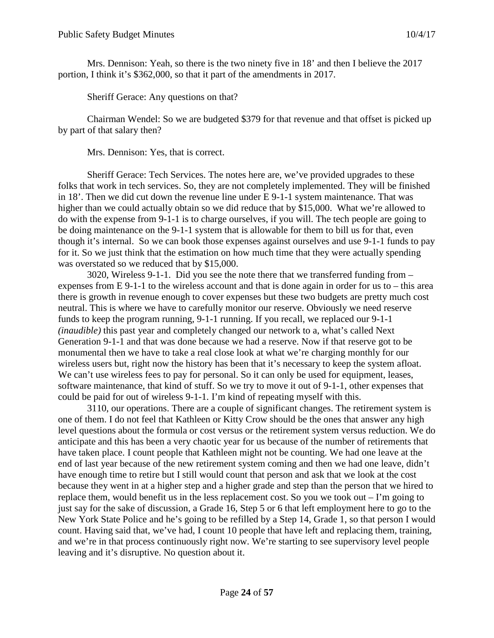Mrs. Dennison: Yeah, so there is the two ninety five in 18' and then I believe the 2017 portion, I think it's \$362,000, so that it part of the amendments in 2017.

Sheriff Gerace: Any questions on that?

Chairman Wendel: So we are budgeted \$379 for that revenue and that offset is picked up by part of that salary then?

Mrs. Dennison: Yes, that is correct.

Sheriff Gerace: Tech Services. The notes here are, we've provided upgrades to these folks that work in tech services. So, they are not completely implemented. They will be finished in 18'. Then we did cut down the revenue line under E 9-1-1 system maintenance. That was higher than we could actually obtain so we did reduce that by \$15,000. What we're allowed to do with the expense from 9-1-1 is to charge ourselves, if you will. The tech people are going to be doing maintenance on the 9-1-1 system that is allowable for them to bill us for that, even though it's internal. So we can book those expenses against ourselves and use 9-1-1 funds to pay for it. So we just think that the estimation on how much time that they were actually spending was overstated so we reduced that by \$15,000.

3020, Wireless 9-1-1. Did you see the note there that we transferred funding from – expenses from E 9-1-1 to the wireless account and that is done again in order for us to – this area there is growth in revenue enough to cover expenses but these two budgets are pretty much cost neutral. This is where we have to carefully monitor our reserve. Obviously we need reserve funds to keep the program running, 9-1-1 running. If you recall, we replaced our 9-1-1 *(inaudible)* this past year and completely changed our network to a, what's called Next Generation 9-1-1 and that was done because we had a reserve. Now if that reserve got to be monumental then we have to take a real close look at what we're charging monthly for our wireless users but, right now the history has been that it's necessary to keep the system afloat. We can't use wireless fees to pay for personal. So it can only be used for equipment, leases, software maintenance, that kind of stuff. So we try to move it out of 9-1-1, other expenses that could be paid for out of wireless 9-1-1. I'm kind of repeating myself with this.

3110, our operations. There are a couple of significant changes. The retirement system is one of them. I do not feel that Kathleen or Kitty Crow should be the ones that answer any high level questions about the formula or cost versus or the retirement system versus reduction. We do anticipate and this has been a very chaotic year for us because of the number of retirements that have taken place. I count people that Kathleen might not be counting. We had one leave at the end of last year because of the new retirement system coming and then we had one leave, didn't have enough time to retire but I still would count that person and ask that we look at the cost because they went in at a higher step and a higher grade and step than the person that we hired to replace them, would benefit us in the less replacement cost. So you we took out – I'm going to just say for the sake of discussion, a Grade 16, Step 5 or 6 that left employment here to go to the New York State Police and he's going to be refilled by a Step 14, Grade 1, so that person I would count. Having said that, we've had, I count 10 people that have left and replacing them, training, and we're in that process continuously right now. We're starting to see supervisory level people leaving and it's disruptive. No question about it.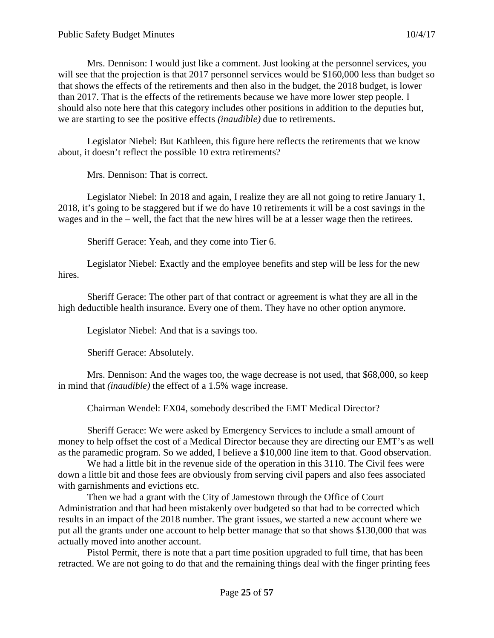Mrs. Dennison: I would just like a comment. Just looking at the personnel services, you will see that the projection is that 2017 personnel services would be \$160,000 less than budget so that shows the effects of the retirements and then also in the budget, the 2018 budget, is lower than 2017. That is the effects of the retirements because we have more lower step people. I should also note here that this category includes other positions in addition to the deputies but, we are starting to see the positive effects *(inaudible)* due to retirements.

Legislator Niebel: But Kathleen, this figure here reflects the retirements that we know about, it doesn't reflect the possible 10 extra retirements?

Mrs. Dennison: That is correct.

Legislator Niebel: In 2018 and again, I realize they are all not going to retire January 1, 2018, it's going to be staggered but if we do have 10 retirements it will be a cost savings in the wages and in the – well, the fact that the new hires will be at a lesser wage then the retirees.

Sheriff Gerace: Yeah, and they come into Tier 6.

Legislator Niebel: Exactly and the employee benefits and step will be less for the new hires.

Sheriff Gerace: The other part of that contract or agreement is what they are all in the high deductible health insurance. Every one of them. They have no other option anymore.

Legislator Niebel: And that is a savings too.

Sheriff Gerace: Absolutely.

Mrs. Dennison: And the wages too, the wage decrease is not used, that \$68,000, so keep in mind that *(inaudible)* the effect of a 1.5% wage increase.

Chairman Wendel: EX04, somebody described the EMT Medical Director?

Sheriff Gerace: We were asked by Emergency Services to include a small amount of money to help offset the cost of a Medical Director because they are directing our EMT's as well as the paramedic program. So we added, I believe a \$10,000 line item to that. Good observation.

We had a little bit in the revenue side of the operation in this 3110. The Civil fees were down a little bit and those fees are obviously from serving civil papers and also fees associated with garnishments and evictions etc.

Then we had a grant with the City of Jamestown through the Office of Court Administration and that had been mistakenly over budgeted so that had to be corrected which results in an impact of the 2018 number. The grant issues, we started a new account where we put all the grants under one account to help better manage that so that shows \$130,000 that was actually moved into another account.

Pistol Permit, there is note that a part time position upgraded to full time, that has been retracted. We are not going to do that and the remaining things deal with the finger printing fees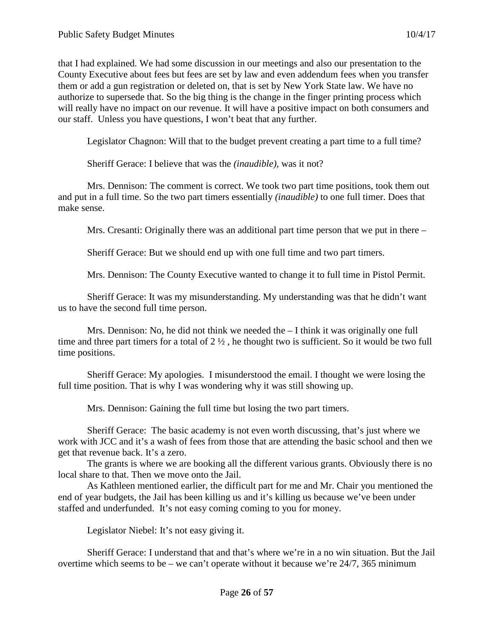that I had explained. We had some discussion in our meetings and also our presentation to the County Executive about fees but fees are set by law and even addendum fees when you transfer them or add a gun registration or deleted on, that is set by New York State law. We have no authorize to supersede that. So the big thing is the change in the finger printing process which will really have no impact on our revenue. It will have a positive impact on both consumers and our staff. Unless you have questions, I won't beat that any further.

Legislator Chagnon: Will that to the budget prevent creating a part time to a full time?

Sheriff Gerace: I believe that was the *(inaudible)*, was it not?

Mrs. Dennison: The comment is correct. We took two part time positions, took them out and put in a full time. So the two part timers essentially *(inaudible)* to one full timer. Does that make sense.

Mrs. Cresanti: Originally there was an additional part time person that we put in there –

Sheriff Gerace: But we should end up with one full time and two part timers.

Mrs. Dennison: The County Executive wanted to change it to full time in Pistol Permit.

Sheriff Gerace: It was my misunderstanding. My understanding was that he didn't want us to have the second full time person.

Mrs. Dennison: No, he did not think we needed the – I think it was originally one full time and three part timers for a total of 2 ½ , he thought two is sufficient. So it would be two full time positions.

Sheriff Gerace: My apologies. I misunderstood the email. I thought we were losing the full time position. That is why I was wondering why it was still showing up.

Mrs. Dennison: Gaining the full time but losing the two part timers.

Sheriff Gerace: The basic academy is not even worth discussing, that's just where we work with JCC and it's a wash of fees from those that are attending the basic school and then we get that revenue back. It's a zero.

The grants is where we are booking all the different various grants. Obviously there is no local share to that. Then we move onto the Jail.

As Kathleen mentioned earlier, the difficult part for me and Mr. Chair you mentioned the end of year budgets, the Jail has been killing us and it's killing us because we've been under staffed and underfunded. It's not easy coming coming to you for money.

Legislator Niebel: It's not easy giving it.

Sheriff Gerace: I understand that and that's where we're in a no win situation. But the Jail overtime which seems to be – we can't operate without it because we're 24/7, 365 minimum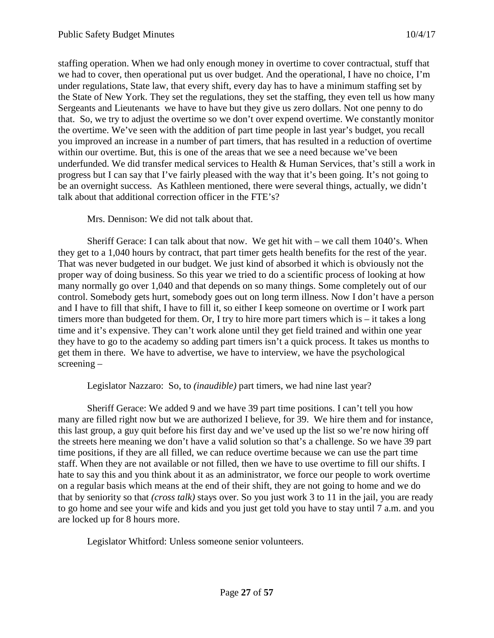staffing operation. When we had only enough money in overtime to cover contractual, stuff that we had to cover, then operational put us over budget. And the operational, I have no choice, I'm under regulations, State law, that every shift, every day has to have a minimum staffing set by the State of New York. They set the regulations, they set the staffing, they even tell us how many Sergeants and Lieutenants we have to have but they give us zero dollars. Not one penny to do that. So, we try to adjust the overtime so we don't over expend overtime. We constantly monitor the overtime. We've seen with the addition of part time people in last year's budget, you recall you improved an increase in a number of part timers, that has resulted in a reduction of overtime within our overtime. But, this is one of the areas that we see a need because we've been underfunded. We did transfer medical services to Health & Human Services, that's still a work in progress but I can say that I've fairly pleased with the way that it's been going. It's not going to be an overnight success. As Kathleen mentioned, there were several things, actually, we didn't talk about that additional correction officer in the FTE's?

Mrs. Dennison: We did not talk about that.

Sheriff Gerace: I can talk about that now. We get hit with – we call them 1040's. When they get to a 1,040 hours by contract, that part timer gets health benefits for the rest of the year. That was never budgeted in our budget. We just kind of absorbed it which is obviously not the proper way of doing business. So this year we tried to do a scientific process of looking at how many normally go over 1,040 and that depends on so many things. Some completely out of our control. Somebody gets hurt, somebody goes out on long term illness. Now I don't have a person and I have to fill that shift, I have to fill it, so either I keep someone on overtime or I work part timers more than budgeted for them. Or, I try to hire more part timers which is – it takes a long time and it's expensive. They can't work alone until they get field trained and within one year they have to go to the academy so adding part timers isn't a quick process. It takes us months to get them in there. We have to advertise, we have to interview, we have the psychological screening –

Legislator Nazzaro: So, to *(inaudible)* part timers, we had nine last year?

Sheriff Gerace: We added 9 and we have 39 part time positions. I can't tell you how many are filled right now but we are authorized I believe, for 39. We hire them and for instance, this last group, a guy quit before his first day and we've used up the list so we're now hiring off the streets here meaning we don't have a valid solution so that's a challenge. So we have 39 part time positions, if they are all filled, we can reduce overtime because we can use the part time staff. When they are not available or not filled, then we have to use overtime to fill our shifts. I hate to say this and you think about it as an administrator, we force our people to work overtime on a regular basis which means at the end of their shift, they are not going to home and we do that by seniority so that *(cross talk)* stays over. So you just work 3 to 11 in the jail, you are ready to go home and see your wife and kids and you just get told you have to stay until 7 a.m. and you are locked up for 8 hours more.

Legislator Whitford: Unless someone senior volunteers.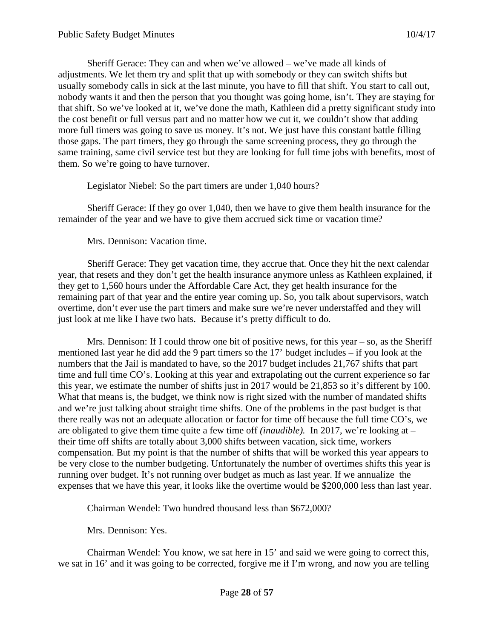Sheriff Gerace: They can and when we've allowed – we've made all kinds of adjustments. We let them try and split that up with somebody or they can switch shifts but usually somebody calls in sick at the last minute, you have to fill that shift. You start to call out, nobody wants it and then the person that you thought was going home, isn't. They are staying for that shift. So we've looked at it, we've done the math, Kathleen did a pretty significant study into the cost benefit or full versus part and no matter how we cut it, we couldn't show that adding more full timers was going to save us money. It's not. We just have this constant battle filling those gaps. The part timers, they go through the same screening process, they go through the same training, same civil service test but they are looking for full time jobs with benefits, most of them. So we're going to have turnover.

Legislator Niebel: So the part timers are under 1,040 hours?

Sheriff Gerace: If they go over 1,040, then we have to give them health insurance for the remainder of the year and we have to give them accrued sick time or vacation time?

Mrs. Dennison: Vacation time.

Sheriff Gerace: They get vacation time, they accrue that. Once they hit the next calendar year, that resets and they don't get the health insurance anymore unless as Kathleen explained, if they get to 1,560 hours under the Affordable Care Act, they get health insurance for the remaining part of that year and the entire year coming up. So, you talk about supervisors, watch overtime, don't ever use the part timers and make sure we're never understaffed and they will just look at me like I have two hats. Because it's pretty difficult to do.

Mrs. Dennison: If I could throw one bit of positive news, for this year – so, as the Sheriff mentioned last year he did add the 9 part timers so the 17' budget includes – if you look at the numbers that the Jail is mandated to have, so the 2017 budget includes 21,767 shifts that part time and full time CO's. Looking at this year and extrapolating out the current experience so far this year, we estimate the number of shifts just in 2017 would be 21,853 so it's different by 100. What that means is, the budget, we think now is right sized with the number of mandated shifts and we're just talking about straight time shifts. One of the problems in the past budget is that there really was not an adequate allocation or factor for time off because the full time CO's, we are obligated to give them time quite a few time off *(inaudible).* In 2017, we're looking at – their time off shifts are totally about 3,000 shifts between vacation, sick time, workers compensation. But my point is that the number of shifts that will be worked this year appears to be very close to the number budgeting. Unfortunately the number of overtimes shifts this year is running over budget. It's not running over budget as much as last year. If we annualize the expenses that we have this year, it looks like the overtime would be \$200,000 less than last year.

Chairman Wendel: Two hundred thousand less than \$672,000?

Mrs. Dennison: Yes.

Chairman Wendel: You know, we sat here in 15' and said we were going to correct this, we sat in 16' and it was going to be corrected, forgive me if I'm wrong, and now you are telling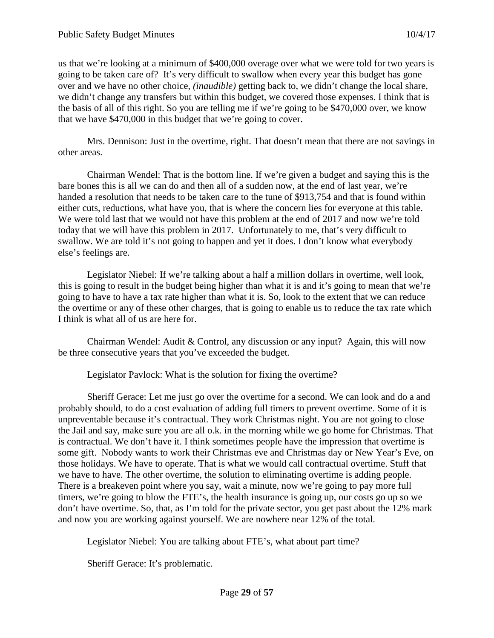us that we're looking at a minimum of \$400,000 overage over what we were told for two years is going to be taken care of? It's very difficult to swallow when every year this budget has gone over and we have no other choice, *(inaudible)* getting back to, we didn't change the local share, we didn't change any transfers but within this budget, we covered those expenses. I think that is the basis of all of this right. So you are telling me if we're going to be \$470,000 over, we know that we have \$470,000 in this budget that we're going to cover.

Mrs. Dennison: Just in the overtime, right. That doesn't mean that there are not savings in other areas.

Chairman Wendel: That is the bottom line. If we're given a budget and saying this is the bare bones this is all we can do and then all of a sudden now, at the end of last year, we're handed a resolution that needs to be taken care to the tune of \$913,754 and that is found within either cuts, reductions, what have you, that is where the concern lies for everyone at this table. We were told last that we would not have this problem at the end of 2017 and now we're told today that we will have this problem in 2017. Unfortunately to me, that's very difficult to swallow. We are told it's not going to happen and yet it does. I don't know what everybody else's feelings are.

Legislator Niebel: If we're talking about a half a million dollars in overtime, well look, this is going to result in the budget being higher than what it is and it's going to mean that we're going to have to have a tax rate higher than what it is. So, look to the extent that we can reduce the overtime or any of these other charges, that is going to enable us to reduce the tax rate which I think is what all of us are here for.

Chairman Wendel: Audit & Control, any discussion or any input? Again, this will now be three consecutive years that you've exceeded the budget.

Legislator Pavlock: What is the solution for fixing the overtime?

Sheriff Gerace: Let me just go over the overtime for a second. We can look and do a and probably should, to do a cost evaluation of adding full timers to prevent overtime. Some of it is unpreventable because it's contractual. They work Christmas night. You are not going to close the Jail and say, make sure you are all o.k. in the morning while we go home for Christmas. That is contractual. We don't have it. I think sometimes people have the impression that overtime is some gift. Nobody wants to work their Christmas eve and Christmas day or New Year's Eve, on those holidays. We have to operate. That is what we would call contractual overtime. Stuff that we have to have. The other overtime, the solution to eliminating overtime is adding people. There is a breakeven point where you say, wait a minute, now we're going to pay more full timers, we're going to blow the FTE's, the health insurance is going up, our costs go up so we don't have overtime. So, that, as I'm told for the private sector, you get past about the 12% mark and now you are working against yourself. We are nowhere near 12% of the total.

Legislator Niebel: You are talking about FTE's, what about part time?

Sheriff Gerace: It's problematic.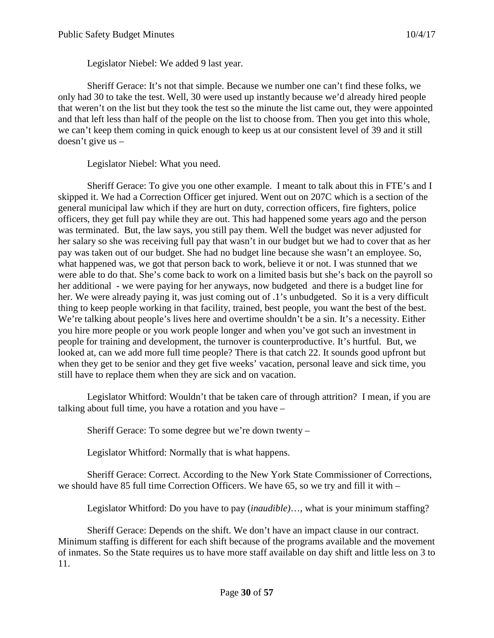Legislator Niebel: We added 9 last year.

Sheriff Gerace: It's not that simple. Because we number one can't find these folks, we only had 30 to take the test. Well, 30 were used up instantly because we'd already hired people that weren't on the list but they took the test so the minute the list came out, they were appointed and that left less than half of the people on the list to choose from. Then you get into this whole, we can't keep them coming in quick enough to keep us at our consistent level of 39 and it still doesn't give us –

Legislator Niebel: What you need.

Sheriff Gerace: To give you one other example. I meant to talk about this in FTE's and I skipped it. We had a Correction Officer get injured. Went out on 207C which is a section of the general municipal law which if they are hurt on duty, correction officers, fire fighters, police officers, they get full pay while they are out. This had happened some years ago and the person was terminated. But, the law says, you still pay them. Well the budget was never adjusted for her salary so she was receiving full pay that wasn't in our budget but we had to cover that as her pay was taken out of our budget. She had no budget line because she wasn't an employee. So, what happened was, we got that person back to work, believe it or not. I was stunned that we were able to do that. She's come back to work on a limited basis but she's back on the payroll so her additional - we were paying for her anyways, now budgeted and there is a budget line for her. We were already paying it, was just coming out of .1's unbudgeted. So it is a very difficult thing to keep people working in that facility, trained, best people, you want the best of the best. We're talking about people's lives here and overtime shouldn't be a sin. It's a necessity. Either you hire more people or you work people longer and when you've got such an investment in people for training and development, the turnover is counterproductive. It's hurtful. But, we looked at, can we add more full time people? There is that catch 22. It sounds good upfront but when they get to be senior and they get five weeks' vacation, personal leave and sick time, you still have to replace them when they are sick and on vacation.

Legislator Whitford: Wouldn't that be taken care of through attrition? I mean, if you are talking about full time, you have a rotation and you have –

Sheriff Gerace: To some degree but we're down twenty –

Legislator Whitford: Normally that is what happens.

Sheriff Gerace: Correct. According to the New York State Commissioner of Corrections, we should have 85 full time Correction Officers. We have 65, so we try and fill it with –

Legislator Whitford: Do you have to pay (*inaudible)*…, what is your minimum staffing?

Sheriff Gerace: Depends on the shift. We don't have an impact clause in our contract. Minimum staffing is different for each shift because of the programs available and the movement of inmates. So the State requires us to have more staff available on day shift and little less on 3 to 11.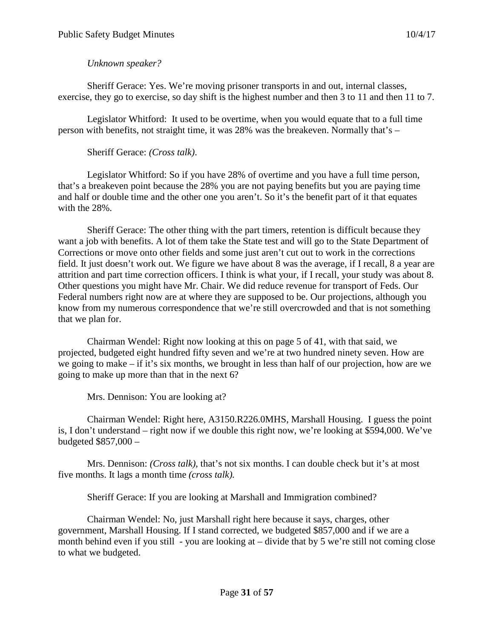## *Unknown speaker?*

Sheriff Gerace: Yes. We're moving prisoner transports in and out, internal classes, exercise, they go to exercise, so day shift is the highest number and then 3 to 11 and then 11 to 7.

Legislator Whitford: It used to be overtime, when you would equate that to a full time person with benefits, not straight time, it was 28% was the breakeven. Normally that's –

# Sheriff Gerace: *(Cross talk)*.

Legislator Whitford: So if you have 28% of overtime and you have a full time person, that's a breakeven point because the 28% you are not paying benefits but you are paying time and half or double time and the other one you aren't. So it's the benefit part of it that equates with the 28%.

Sheriff Gerace: The other thing with the part timers, retention is difficult because they want a job with benefits. A lot of them take the State test and will go to the State Department of Corrections or move onto other fields and some just aren't cut out to work in the corrections field. It just doesn't work out. We figure we have about 8 was the average, if I recall, 8 a year are attrition and part time correction officers. I think is what your, if I recall, your study was about 8. Other questions you might have Mr. Chair. We did reduce revenue for transport of Feds. Our Federal numbers right now are at where they are supposed to be. Our projections, although you know from my numerous correspondence that we're still overcrowded and that is not something that we plan for.

Chairman Wendel: Right now looking at this on page 5 of 41, with that said, we projected, budgeted eight hundred fifty seven and we're at two hundred ninety seven. How are we going to make – if it's six months, we brought in less than half of our projection, how are we going to make up more than that in the next 6?

Mrs. Dennison: You are looking at?

Chairman Wendel: Right here, A3150.R226.0MHS, Marshall Housing. I guess the point is, I don't understand – right now if we double this right now, we're looking at \$594,000. We've budgeted \$857,000 –

Mrs. Dennison: *(Cross talk)*, that's not six months. I can double check but it's at most five months. It lags a month time *(cross talk).*

Sheriff Gerace: If you are looking at Marshall and Immigration combined?

Chairman Wendel: No, just Marshall right here because it says, charges, other government, Marshall Housing. If I stand corrected, we budgeted \$857,000 and if we are a month behind even if you still - you are looking at – divide that by 5 we're still not coming close to what we budgeted.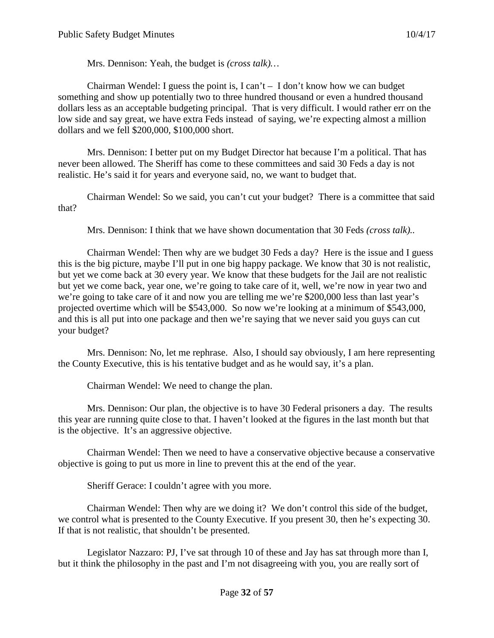Mrs. Dennison: Yeah, the budget is *(cross talk)…*

Chairman Wendel: I guess the point is, I can't  $-$  I don't know how we can budget something and show up potentially two to three hundred thousand or even a hundred thousand dollars less as an acceptable budgeting principal. That is very difficult. I would rather err on the low side and say great, we have extra Feds instead of saying, we're expecting almost a million dollars and we fell \$200,000, \$100,000 short.

Mrs. Dennison: I better put on my Budget Director hat because I'm a political. That has never been allowed. The Sheriff has come to these committees and said 30 Feds a day is not realistic. He's said it for years and everyone said, no, we want to budget that.

Chairman Wendel: So we said, you can't cut your budget? There is a committee that said that?

Mrs. Dennison: I think that we have shown documentation that 30 Feds *(cross talk)..*

Chairman Wendel: Then why are we budget 30 Feds a day? Here is the issue and I guess this is the big picture, maybe I'll put in one big happy package. We know that 30 is not realistic, but yet we come back at 30 every year. We know that these budgets for the Jail are not realistic but yet we come back, year one, we're going to take care of it, well, we're now in year two and we're going to take care of it and now you are telling me we're \$200,000 less than last year's projected overtime which will be \$543,000. So now we're looking at a minimum of \$543,000, and this is all put into one package and then we're saying that we never said you guys can cut your budget?

Mrs. Dennison: No, let me rephrase. Also, I should say obviously, I am here representing the County Executive, this is his tentative budget and as he would say, it's a plan.

Chairman Wendel: We need to change the plan.

Mrs. Dennison: Our plan, the objective is to have 30 Federal prisoners a day. The results this year are running quite close to that. I haven't looked at the figures in the last month but that is the objective. It's an aggressive objective.

Chairman Wendel: Then we need to have a conservative objective because a conservative objective is going to put us more in line to prevent this at the end of the year.

Sheriff Gerace: I couldn't agree with you more.

Chairman Wendel: Then why are we doing it? We don't control this side of the budget, we control what is presented to the County Executive. If you present 30, then he's expecting 30. If that is not realistic, that shouldn't be presented.

Legislator Nazzaro: PJ, I've sat through 10 of these and Jay has sat through more than I, but it think the philosophy in the past and I'm not disagreeing with you, you are really sort of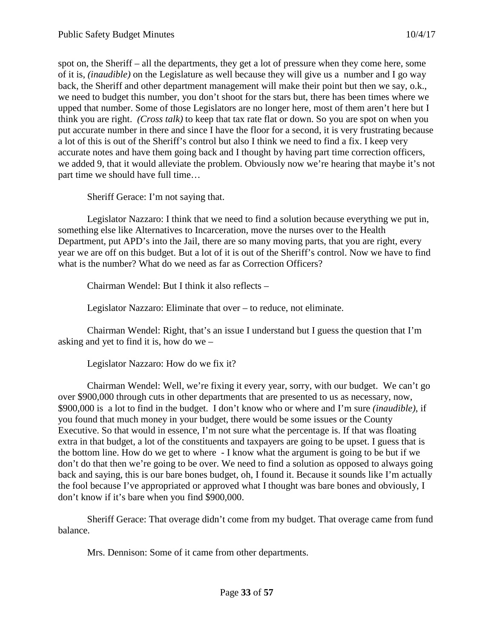spot on, the Sheriff – all the departments, they get a lot of pressure when they come here, some of it is, *(inaudible)* on the Legislature as well because they will give us a number and I go way back, the Sheriff and other department management will make their point but then we say, o.k., we need to budget this number, you don't shoot for the stars but, there has been times where we upped that number. Some of those Legislators are no longer here, most of them aren't here but I think you are right. *(Cross talk)* to keep that tax rate flat or down. So you are spot on when you put accurate number in there and since I have the floor for a second, it is very frustrating because a lot of this is out of the Sheriff's control but also I think we need to find a fix. I keep very accurate notes and have them going back and I thought by having part time correction officers, we added 9, that it would alleviate the problem. Obviously now we're hearing that maybe it's not part time we should have full time…

Sheriff Gerace: I'm not saying that.

Legislator Nazzaro: I think that we need to find a solution because everything we put in, something else like Alternatives to Incarceration, move the nurses over to the Health Department, put APD's into the Jail, there are so many moving parts, that you are right, every year we are off on this budget. But a lot of it is out of the Sheriff's control. Now we have to find what is the number? What do we need as far as Correction Officers?

Chairman Wendel: But I think it also reflects –

Legislator Nazzaro: Eliminate that over – to reduce, not eliminate.

Chairman Wendel: Right, that's an issue I understand but I guess the question that I'm asking and yet to find it is, how do we –

Legislator Nazzaro: How do we fix it?

Chairman Wendel: Well, we're fixing it every year, sorry, with our budget. We can't go over \$900,000 through cuts in other departments that are presented to us as necessary, now, \$900,000 is a lot to find in the budget. I don't know who or where and I'm sure *(inaudible)*, if you found that much money in your budget, there would be some issues or the County Executive. So that would in essence, I'm not sure what the percentage is. If that was floating extra in that budget, a lot of the constituents and taxpayers are going to be upset. I guess that is the bottom line. How do we get to where - I know what the argument is going to be but if we don't do that then we're going to be over. We need to find a solution as opposed to always going back and saying, this is our bare bones budget, oh, I found it. Because it sounds like I'm actually the fool because I've appropriated or approved what I thought was bare bones and obviously, I don't know if it's bare when you find \$900,000.

Sheriff Gerace: That overage didn't come from my budget. That overage came from fund balance.

Mrs. Dennison: Some of it came from other departments.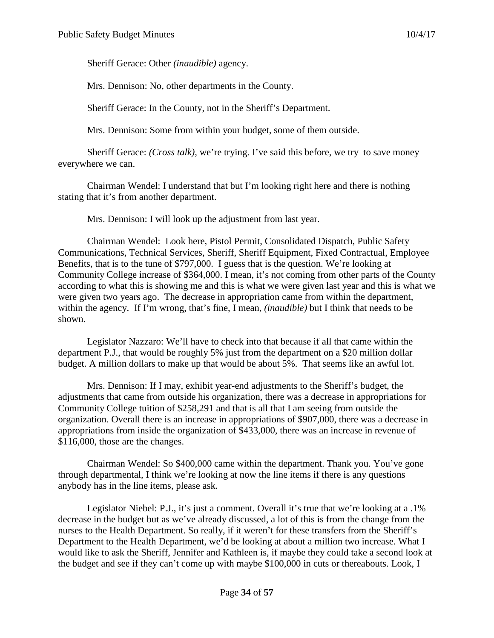Sheriff Gerace: Other *(inaudible)* agency.

Mrs. Dennison: No, other departments in the County.

Sheriff Gerace: In the County, not in the Sheriff's Department.

Mrs. Dennison: Some from within your budget, some of them outside.

Sheriff Gerace: *(Cross talk)*, we're trying. I've said this before, we try to save money everywhere we can.

Chairman Wendel: I understand that but I'm looking right here and there is nothing stating that it's from another department.

Mrs. Dennison: I will look up the adjustment from last year.

Chairman Wendel: Look here, Pistol Permit, Consolidated Dispatch, Public Safety Communications, Technical Services, Sheriff, Sheriff Equipment, Fixed Contractual, Employee Benefits, that is to the tune of \$797,000. I guess that is the question. We're looking at Community College increase of \$364,000. I mean, it's not coming from other parts of the County according to what this is showing me and this is what we were given last year and this is what we were given two years ago. The decrease in appropriation came from within the department, within the agency. If I'm wrong, that's fine, I mean, *(inaudible)* but I think that needs to be shown.

Legislator Nazzaro: We'll have to check into that because if all that came within the department P.J., that would be roughly 5% just from the department on a \$20 million dollar budget. A million dollars to make up that would be about 5%. That seems like an awful lot.

Mrs. Dennison: If I may, exhibit year-end adjustments to the Sheriff's budget, the adjustments that came from outside his organization, there was a decrease in appropriations for Community College tuition of \$258,291 and that is all that I am seeing from outside the organization. Overall there is an increase in appropriations of \$907,000, there was a decrease in appropriations from inside the organization of \$433,000, there was an increase in revenue of \$116,000, those are the changes.

Chairman Wendel: So \$400,000 came within the department. Thank you. You've gone through departmental, I think we're looking at now the line items if there is any questions anybody has in the line items, please ask.

Legislator Niebel: P.J., it's just a comment. Overall it's true that we're looking at a .1% decrease in the budget but as we've already discussed, a lot of this is from the change from the nurses to the Health Department. So really, if it weren't for these transfers from the Sheriff's Department to the Health Department, we'd be looking at about a million two increase. What I would like to ask the Sheriff, Jennifer and Kathleen is, if maybe they could take a second look at the budget and see if they can't come up with maybe \$100,000 in cuts or thereabouts. Look, I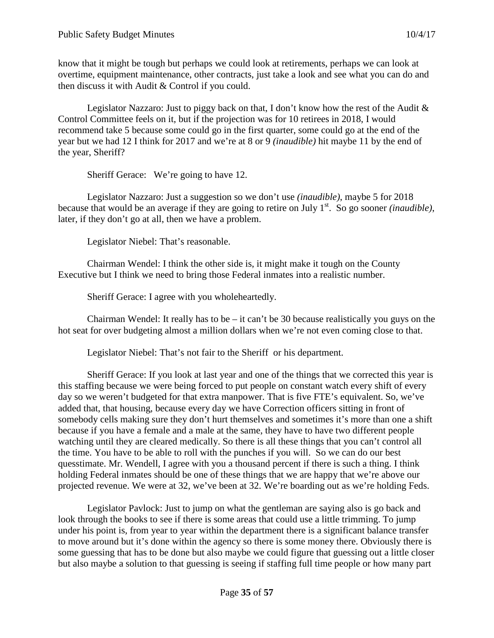know that it might be tough but perhaps we could look at retirements, perhaps we can look at overtime, equipment maintenance, other contracts, just take a look and see what you can do and then discuss it with Audit & Control if you could.

Legislator Nazzaro: Just to piggy back on that, I don't know how the rest of the Audit  $\&$ Control Committee feels on it, but if the projection was for 10 retirees in 2018, I would recommend take 5 because some could go in the first quarter, some could go at the end of the year but we had 12 I think for 2017 and we're at 8 or 9 *(inaudible)* hit maybe 11 by the end of the year, Sheriff?

Sheriff Gerace: We're going to have 12.

Legislator Nazzaro: Just a suggestion so we don't use *(inaudible)*, maybe 5 for 2018 because that would be an average if they are going to retire on July 1st. So go sooner *(inaudible)*, later, if they don't go at all, then we have a problem.

Legislator Niebel: That's reasonable.

Chairman Wendel: I think the other side is, it might make it tough on the County Executive but I think we need to bring those Federal inmates into a realistic number.

Sheriff Gerace: I agree with you wholeheartedly.

Chairman Wendel: It really has to be  $-$  it can't be 30 because realistically you guys on the hot seat for over budgeting almost a million dollars when we're not even coming close to that.

Legislator Niebel: That's not fair to the Sheriff or his department.

Sheriff Gerace: If you look at last year and one of the things that we corrected this year is this staffing because we were being forced to put people on constant watch every shift of every day so we weren't budgeted for that extra manpower. That is five FTE's equivalent. So, we've added that, that housing, because every day we have Correction officers sitting in front of somebody cells making sure they don't hurt themselves and sometimes it's more than one a shift because if you have a female and a male at the same, they have to have two different people watching until they are cleared medically. So there is all these things that you can't control all the time. You have to be able to roll with the punches if you will. So we can do our best quesstimate. Mr. Wendell, I agree with you a thousand percent if there is such a thing. I think holding Federal inmates should be one of these things that we are happy that we're above our projected revenue. We were at 32, we've been at 32. We're boarding out as we're holding Feds.

Legislator Pavlock: Just to jump on what the gentleman are saying also is go back and look through the books to see if there is some areas that could use a little trimming. To jump under his point is, from year to year within the department there is a significant balance transfer to move around but it's done within the agency so there is some money there. Obviously there is some guessing that has to be done but also maybe we could figure that guessing out a little closer but also maybe a solution to that guessing is seeing if staffing full time people or how many part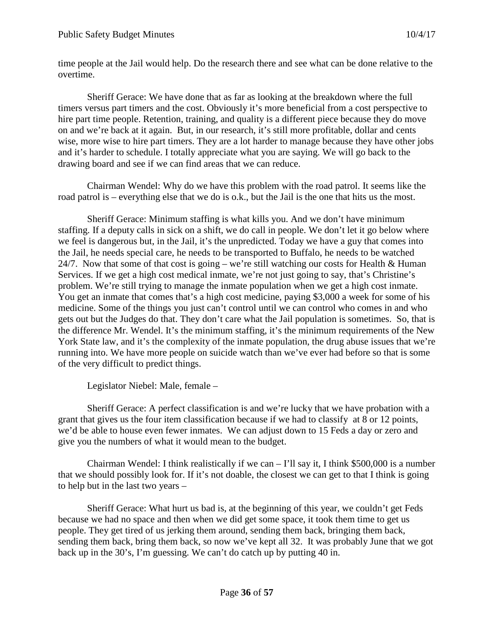time people at the Jail would help. Do the research there and see what can be done relative to the overtime.

Sheriff Gerace: We have done that as far as looking at the breakdown where the full timers versus part timers and the cost. Obviously it's more beneficial from a cost perspective to hire part time people. Retention, training, and quality is a different piece because they do move on and we're back at it again. But, in our research, it's still more profitable, dollar and cents wise, more wise to hire part timers. They are a lot harder to manage because they have other jobs and it's harder to schedule. I totally appreciate what you are saying. We will go back to the drawing board and see if we can find areas that we can reduce.

Chairman Wendel: Why do we have this problem with the road patrol. It seems like the road patrol is – everything else that we do is o.k., but the Jail is the one that hits us the most.

Sheriff Gerace: Minimum staffing is what kills you. And we don't have minimum staffing. If a deputy calls in sick on a shift, we do call in people. We don't let it go below where we feel is dangerous but, in the Jail, it's the unpredicted. Today we have a guy that comes into the Jail, he needs special care, he needs to be transported to Buffalo, he needs to be watched 24/7. Now that some of that cost is going – we're still watching our costs for Health & Human Services. If we get a high cost medical inmate, we're not just going to say, that's Christine's problem. We're still trying to manage the inmate population when we get a high cost inmate. You get an inmate that comes that's a high cost medicine, paying \$3,000 a week for some of his medicine. Some of the things you just can't control until we can control who comes in and who gets out but the Judges do that. They don't care what the Jail population is sometimes. So, that is the difference Mr. Wendel. It's the minimum staffing, it's the minimum requirements of the New York State law, and it's the complexity of the inmate population, the drug abuse issues that we're running into. We have more people on suicide watch than we've ever had before so that is some of the very difficult to predict things.

Legislator Niebel: Male, female –

Sheriff Gerace: A perfect classification is and we're lucky that we have probation with a grant that gives us the four item classification because if we had to classify at 8 or 12 points, we'd be able to house even fewer inmates. We can adjust down to 15 Feds a day or zero and give you the numbers of what it would mean to the budget.

Chairman Wendel: I think realistically if we can  $-1$ 'll say it, I think \$500,000 is a number that we should possibly look for. If it's not doable, the closest we can get to that I think is going to help but in the last two years –

Sheriff Gerace: What hurt us bad is, at the beginning of this year, we couldn't get Feds because we had no space and then when we did get some space, it took them time to get us people. They get tired of us jerking them around, sending them back, bringing them back, sending them back, bring them back, so now we've kept all 32. It was probably June that we got back up in the 30's, I'm guessing. We can't do catch up by putting 40 in.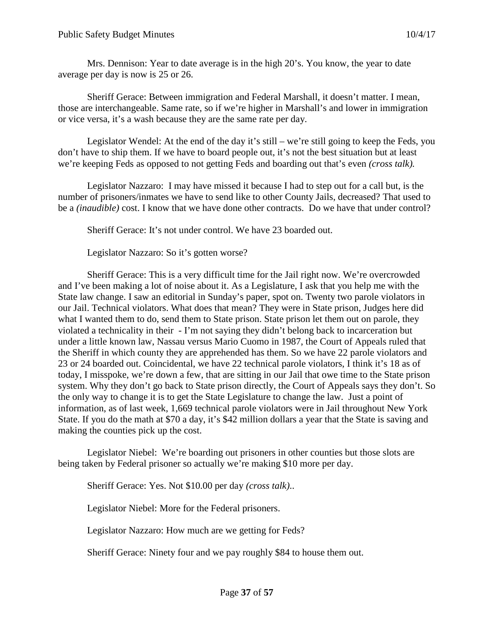Mrs. Dennison: Year to date average is in the high 20's. You know, the year to date average per day is now is 25 or 26.

Sheriff Gerace: Between immigration and Federal Marshall, it doesn't matter. I mean, those are interchangeable. Same rate, so if we're higher in Marshall's and lower in immigration or vice versa, it's a wash because they are the same rate per day.

Legislator Wendel: At the end of the day it's still – we're still going to keep the Feds, you don't have to ship them. If we have to board people out, it's not the best situation but at least we're keeping Feds as opposed to not getting Feds and boarding out that's even *(cross talk).*

Legislator Nazzaro: I may have missed it because I had to step out for a call but, is the number of prisoners/inmates we have to send like to other County Jails, decreased? That used to be a *(inaudible)* cost. I know that we have done other contracts. Do we have that under control?

Sheriff Gerace: It's not under control. We have 23 boarded out.

Legislator Nazzaro: So it's gotten worse?

Sheriff Gerace: This is a very difficult time for the Jail right now. We're overcrowded and I've been making a lot of noise about it. As a Legislature, I ask that you help me with the State law change. I saw an editorial in Sunday's paper, spot on. Twenty two parole violators in our Jail. Technical violators. What does that mean? They were in State prison, Judges here did what I wanted them to do, send them to State prison. State prison let them out on parole, they violated a technicality in their - I'm not saying they didn't belong back to incarceration but under a little known law, Nassau versus Mario Cuomo in 1987, the Court of Appeals ruled that the Sheriff in which county they are apprehended has them. So we have 22 parole violators and 23 or 24 boarded out. Coincidental, we have 22 technical parole violators, I think it's 18 as of today, I misspoke, we're down a few, that are sitting in our Jail that owe time to the State prison system. Why they don't go back to State prison directly, the Court of Appeals says they don't. So the only way to change it is to get the State Legislature to change the law. Just a point of information, as of last week, 1,669 technical parole violators were in Jail throughout New York State. If you do the math at \$70 a day, it's \$42 million dollars a year that the State is saving and making the counties pick up the cost.

Legislator Niebel: We're boarding out prisoners in other counties but those slots are being taken by Federal prisoner so actually we're making \$10 more per day.

Sheriff Gerace: Yes. Not \$10.00 per day *(cross talk)*..

Legislator Niebel: More for the Federal prisoners.

Legislator Nazzaro: How much are we getting for Feds?

Sheriff Gerace: Ninety four and we pay roughly \$84 to house them out.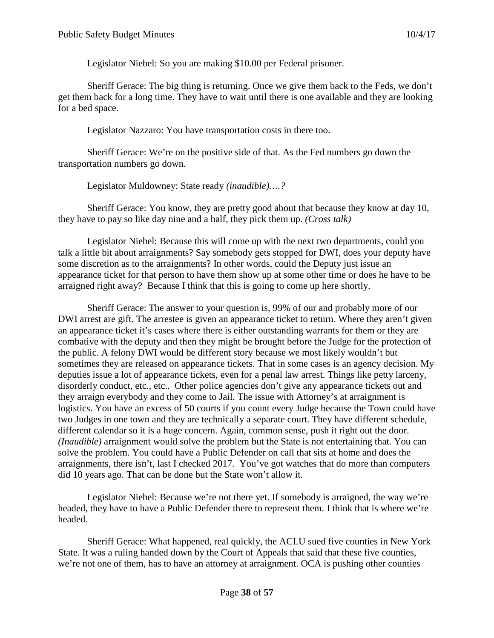Legislator Niebel: So you are making \$10.00 per Federal prisoner.

Sheriff Gerace: The big thing is returning. Once we give them back to the Feds, we don't get them back for a long time. They have to wait until there is one available and they are looking for a bed space.

Legislator Nazzaro: You have transportation costs in there too.

Sheriff Gerace: We're on the positive side of that. As the Fed numbers go down the transportation numbers go down.

Legislator Muldowney: State ready *(inaudible)….?*

Sheriff Gerace: You know, they are pretty good about that because they know at day 10, they have to pay so like day nine and a half, they pick them up. *(Cross talk)*

Legislator Niebel: Because this will come up with the next two departments, could you talk a little bit about arraignments? Say somebody gets stopped for DWI, does your deputy have some discretion as to the arraignments? In other words, could the Deputy just issue an appearance ticket for that person to have them show up at some other time or does he have to be arraigned right away? Because I think that this is going to come up here shortly.

Sheriff Gerace: The answer to your question is, 99% of our and probably more of our DWI arrest are gift. The arrestee is given an appearance ticket to return. Where they aren't given an appearance ticket it's cases where there is either outstanding warrants for them or they are combative with the deputy and then they might be brought before the Judge for the protection of the public. A felony DWI would be different story because we most likely wouldn't but sometimes they are released on appearance tickets. That in some cases is an agency decision. My deputies issue a lot of appearance tickets, even for a penal law arrest. Things like petty larceny, disorderly conduct, etc., etc.. Other police agencies don't give any appearance tickets out and they arraign everybody and they come to Jail. The issue with Attorney's at arraignment is logistics. You have an excess of 50 courts if you count every Judge because the Town could have two Judges in one town and they are technically a separate court. They have different schedule, different calendar so it is a huge concern. Again, common sense, push it right out the door. *(Inaudible)* arraignment would solve the problem but the State is not entertaining that. You can solve the problem. You could have a Public Defender on call that sits at home and does the arraignments, there isn't, last I checked 2017. You've got watches that do more than computers did 10 years ago. That can be done but the State won't allow it.

Legislator Niebel: Because we're not there yet. If somebody is arraigned, the way we're headed, they have to have a Public Defender there to represent them. I think that is where we're headed.

Sheriff Gerace: What happened, real quickly, the ACLU sued five counties in New York State. It was a ruling handed down by the Court of Appeals that said that these five counties, we're not one of them, has to have an attorney at arraignment. OCA is pushing other counties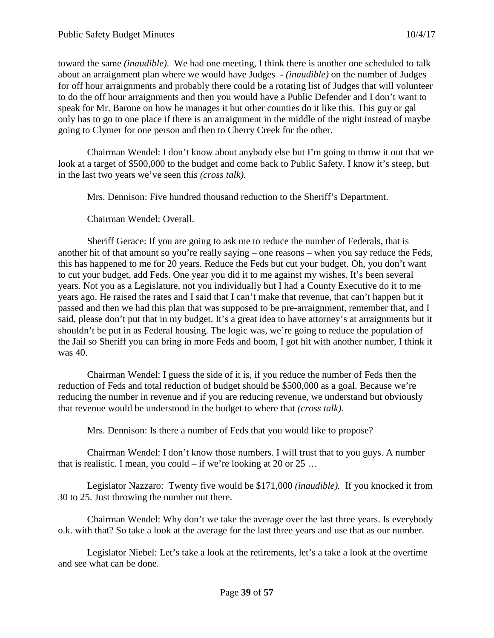toward the same *(inaudible)*. We had one meeting, I think there is another one scheduled to talk about an arraignment plan where we would have Judges - *(inaudible)* on the number of Judges for off hour arraignments and probably there could be a rotating list of Judges that will volunteer to do the off hour arraignments and then you would have a Public Defender and I don't want to speak for Mr. Barone on how he manages it but other counties do it like this. This guy or gal only has to go to one place if there is an arraignment in the middle of the night instead of maybe going to Clymer for one person and then to Cherry Creek for the other.

Chairman Wendel: I don't know about anybody else but I'm going to throw it out that we look at a target of \$500,000 to the budget and come back to Public Safety. I know it's steep, but in the last two years we've seen this *(cross talk).*

Mrs. Dennison: Five hundred thousand reduction to the Sheriff's Department.

Chairman Wendel: Overall.

Sheriff Gerace: If you are going to ask me to reduce the number of Federals, that is another hit of that amount so you're really saying – one reasons – when you say reduce the Feds, this has happened to me for 20 years. Reduce the Feds but cut your budget. Oh, you don't want to cut your budget, add Feds. One year you did it to me against my wishes. It's been several years. Not you as a Legislature, not you individually but I had a County Executive do it to me years ago. He raised the rates and I said that I can't make that revenue, that can't happen but it passed and then we had this plan that was supposed to be pre-arraignment, remember that, and I said, please don't put that in my budget. It's a great idea to have attorney's at arraignments but it shouldn't be put in as Federal housing. The logic was, we're going to reduce the population of the Jail so Sheriff you can bring in more Feds and boom, I got hit with another number, I think it was 40.

Chairman Wendel: I guess the side of it is, if you reduce the number of Feds then the reduction of Feds and total reduction of budget should be \$500,000 as a goal. Because we're reducing the number in revenue and if you are reducing revenue, we understand but obviously that revenue would be understood in the budget to where that *(cross talk).*

Mrs. Dennison: Is there a number of Feds that you would like to propose?

Chairman Wendel: I don't know those numbers. I will trust that to you guys. A number that is realistic. I mean, you could – if we're looking at 20 or  $25$  ...

Legislator Nazzaro: Twenty five would be \$171,000 *(inaudible).* If you knocked it from 30 to 25. Just throwing the number out there.

Chairman Wendel: Why don't we take the average over the last three years. Is everybody o.k. with that? So take a look at the average for the last three years and use that as our number.

Legislator Niebel: Let's take a look at the retirements, let's a take a look at the overtime and see what can be done.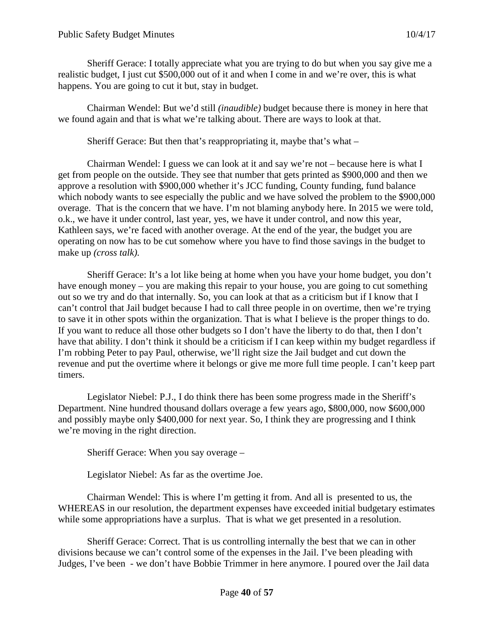Sheriff Gerace: I totally appreciate what you are trying to do but when you say give me a realistic budget, I just cut \$500,000 out of it and when I come in and we're over, this is what happens. You are going to cut it but, stay in budget.

Chairman Wendel: But we'd still *(inaudible)* budget because there is money in here that we found again and that is what we're talking about. There are ways to look at that.

Sheriff Gerace: But then that's reappropriating it, maybe that's what –

Chairman Wendel: I guess we can look at it and say we're not – because here is what I get from people on the outside. They see that number that gets printed as \$900,000 and then we approve a resolution with \$900,000 whether it's JCC funding, County funding, fund balance which nobody wants to see especially the public and we have solved the problem to the \$900,000 overage. That is the concern that we have. I'm not blaming anybody here. In 2015 we were told, o.k., we have it under control, last year, yes, we have it under control, and now this year, Kathleen says, we're faced with another overage. At the end of the year, the budget you are operating on now has to be cut somehow where you have to find those savings in the budget to make up *(cross talk).*

Sheriff Gerace: It's a lot like being at home when you have your home budget, you don't have enough money – you are making this repair to your house, you are going to cut something out so we try and do that internally. So, you can look at that as a criticism but if I know that I can't control that Jail budget because I had to call three people in on overtime, then we're trying to save it in other spots within the organization. That is what I believe is the proper things to do. If you want to reduce all those other budgets so I don't have the liberty to do that, then I don't have that ability. I don't think it should be a criticism if I can keep within my budget regardless if I'm robbing Peter to pay Paul, otherwise, we'll right size the Jail budget and cut down the revenue and put the overtime where it belongs or give me more full time people. I can't keep part timers.

Legislator Niebel: P.J., I do think there has been some progress made in the Sheriff's Department. Nine hundred thousand dollars overage a few years ago, \$800,000, now \$600,000 and possibly maybe only \$400,000 for next year. So, I think they are progressing and I think we're moving in the right direction.

Sheriff Gerace: When you say overage –

Legislator Niebel: As far as the overtime Joe.

Chairman Wendel: This is where I'm getting it from. And all is presented to us, the WHEREAS in our resolution, the department expenses have exceeded initial budgetary estimates while some appropriations have a surplus. That is what we get presented in a resolution.

Sheriff Gerace: Correct. That is us controlling internally the best that we can in other divisions because we can't control some of the expenses in the Jail. I've been pleading with Judges, I've been - we don't have Bobbie Trimmer in here anymore. I poured over the Jail data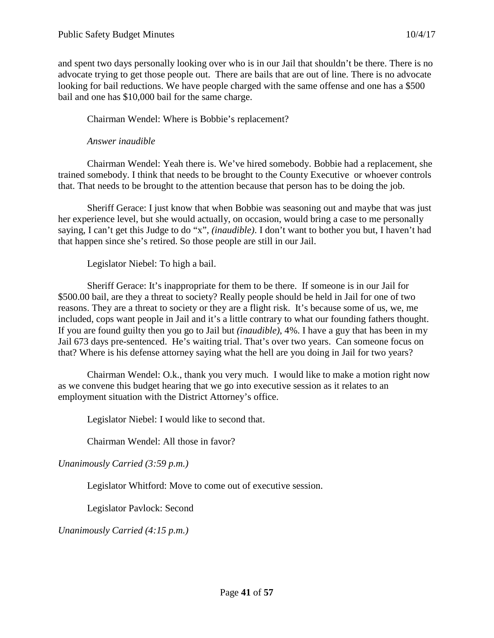and spent two days personally looking over who is in our Jail that shouldn't be there. There is no advocate trying to get those people out. There are bails that are out of line. There is no advocate looking for bail reductions. We have people charged with the same offense and one has a \$500 bail and one has \$10,000 bail for the same charge.

Chairman Wendel: Where is Bobbie's replacement?

### *Answer inaudible*

Chairman Wendel: Yeah there is. We've hired somebody. Bobbie had a replacement, she trained somebody. I think that needs to be brought to the County Executive or whoever controls that. That needs to be brought to the attention because that person has to be doing the job.

Sheriff Gerace: I just know that when Bobbie was seasoning out and maybe that was just her experience level, but she would actually, on occasion, would bring a case to me personally saying, I can't get this Judge to do "x", *(inaudible)*. I don't want to bother you but, I haven't had that happen since she's retired. So those people are still in our Jail.

Legislator Niebel: To high a bail.

Sheriff Gerace: It's inappropriate for them to be there. If someone is in our Jail for \$500.00 bail, are they a threat to society? Really people should be held in Jail for one of two reasons. They are a threat to society or they are a flight risk. It's because some of us, we, me included, cops want people in Jail and it's a little contrary to what our founding fathers thought. If you are found guilty then you go to Jail but *(inaudible)*, 4%. I have a guy that has been in my Jail 673 days pre-sentenced. He's waiting trial. That's over two years. Can someone focus on that? Where is his defense attorney saying what the hell are you doing in Jail for two years?

Chairman Wendel: O.k., thank you very much. I would like to make a motion right now as we convene this budget hearing that we go into executive session as it relates to an employment situation with the District Attorney's office.

Legislator Niebel: I would like to second that.

Chairman Wendel: All those in favor?

*Unanimously Carried (3:59 p.m.)*

Legislator Whitford: Move to come out of executive session.

Legislator Pavlock: Second

*Unanimously Carried (4:15 p.m.)*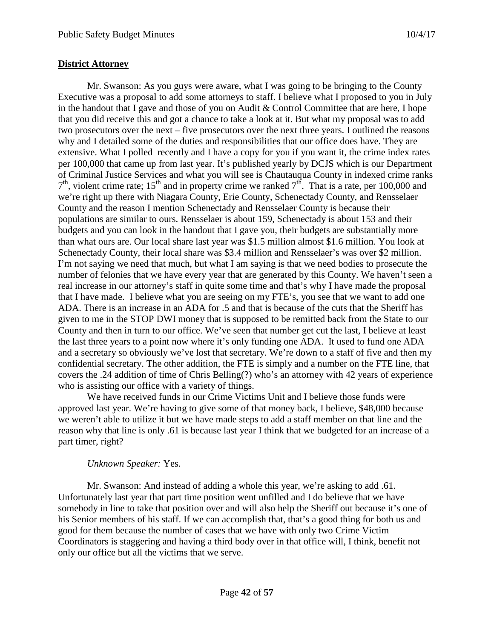### **District Attorney**

Mr. Swanson: As you guys were aware, what I was going to be bringing to the County Executive was a proposal to add some attorneys to staff. I believe what I proposed to you in July in the handout that I gave and those of you on Audit & Control Committee that are here, I hope that you did receive this and got a chance to take a look at it. But what my proposal was to add two prosecutors over the next – five prosecutors over the next three years. I outlined the reasons why and I detailed some of the duties and responsibilities that our office does have. They are extensive. What I polled recently and I have a copy for you if you want it, the crime index rates per 100,000 that came up from last year. It's published yearly by DCJS which is our Department of Criminal Justice Services and what you will see is Chautauqua County in indexed crime ranks  $7<sup>th</sup>$ , violent crime rate; 15<sup>th</sup> and in property crime we ranked  $7<sup>th</sup>$ . That is a rate, per 100,000 and we're right up there with Niagara County, Erie County, Schenectady County, and Rensselaer County and the reason I mention Schenectady and Rensselaer County is because their populations are similar to ours. Rensselaer is about 159, Schenectady is about 153 and their budgets and you can look in the handout that I gave you, their budgets are substantially more than what ours are. Our local share last year was \$1.5 million almost \$1.6 million. You look at Schenectady County, their local share was \$3.4 million and Rensselaer's was over \$2 million. I'm not saying we need that much, but what I am saying is that we need bodies to prosecute the number of felonies that we have every year that are generated by this County. We haven't seen a real increase in our attorney's staff in quite some time and that's why I have made the proposal that I have made. I believe what you are seeing on my FTE's, you see that we want to add one ADA. There is an increase in an ADA for .5 and that is because of the cuts that the Sheriff has given to me in the STOP DWI money that is supposed to be remitted back from the State to our County and then in turn to our office. We've seen that number get cut the last, I believe at least the last three years to a point now where it's only funding one ADA. It used to fund one ADA and a secretary so obviously we've lost that secretary. We're down to a staff of five and then my confidential secretary. The other addition, the FTE is simply and a number on the FTE line, that covers the .24 addition of time of Chris Belling(?) who's an attorney with 42 years of experience who is assisting our office with a variety of things.

We have received funds in our Crime Victims Unit and I believe those funds were approved last year. We're having to give some of that money back, I believe, \$48,000 because we weren't able to utilize it but we have made steps to add a staff member on that line and the reason why that line is only .61 is because last year I think that we budgeted for an increase of a part timer, right?

### *Unknown Speaker:* Yes.

Mr. Swanson: And instead of adding a whole this year, we're asking to add .61. Unfortunately last year that part time position went unfilled and I do believe that we have somebody in line to take that position over and will also help the Sheriff out because it's one of his Senior members of his staff. If we can accomplish that, that's a good thing for both us and good for them because the number of cases that we have with only two Crime Victim Coordinators is staggering and having a third body over in that office will, I think, benefit not only our office but all the victims that we serve.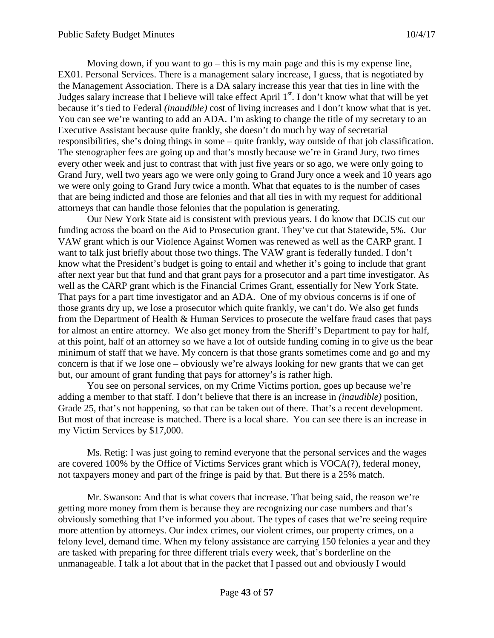Moving down, if you want to go – this is my main page and this is my expense line, EX01. Personal Services. There is a management salary increase, I guess, that is negotiated by the Management Association. There is a DA salary increase this year that ties in line with the Judges salary increase that I believe will take effect April  $1<sup>st</sup>$ . I don't know what that will be yet because it's tied to Federal *(inaudible)* cost of living increases and I don't know what that is yet. You can see we're wanting to add an ADA. I'm asking to change the title of my secretary to an Executive Assistant because quite frankly, she doesn't do much by way of secretarial responsibilities, she's doing things in some – quite frankly, way outside of that job classification. The stenographer fees are going up and that's mostly because we're in Grand Jury, two times every other week and just to contrast that with just five years or so ago, we were only going to Grand Jury, well two years ago we were only going to Grand Jury once a week and 10 years ago we were only going to Grand Jury twice a month. What that equates to is the number of cases that are being indicted and those are felonies and that all ties in with my request for additional attorneys that can handle those felonies that the population is generating.

Our New York State aid is consistent with previous years. I do know that DCJS cut our funding across the board on the Aid to Prosecution grant. They've cut that Statewide, 5%. Our VAW grant which is our Violence Against Women was renewed as well as the CARP grant. I want to talk just briefly about those two things. The VAW grant is federally funded. I don't know what the President's budget is going to entail and whether it's going to include that grant after next year but that fund and that grant pays for a prosecutor and a part time investigator. As well as the CARP grant which is the Financial Crimes Grant, essentially for New York State. That pays for a part time investigator and an ADA. One of my obvious concerns is if one of those grants dry up, we lose a prosecutor which quite frankly, we can't do. We also get funds from the Department of Health & Human Services to prosecute the welfare fraud cases that pays for almost an entire attorney. We also get money from the Sheriff's Department to pay for half, at this point, half of an attorney so we have a lot of outside funding coming in to give us the bear minimum of staff that we have. My concern is that those grants sometimes come and go and my concern is that if we lose one – obviously we're always looking for new grants that we can get but, our amount of grant funding that pays for attorney's is rather high.

You see on personal services, on my Crime Victims portion, goes up because we're adding a member to that staff. I don't believe that there is an increase in *(inaudible)* position, Grade 25, that's not happening, so that can be taken out of there. That's a recent development. But most of that increase is matched. There is a local share. You can see there is an increase in my Victim Services by \$17,000.

Ms. Retig: I was just going to remind everyone that the personal services and the wages are covered 100% by the Office of Victims Services grant which is VOCA(?), federal money, not taxpayers money and part of the fringe is paid by that. But there is a 25% match.

Mr. Swanson: And that is what covers that increase. That being said, the reason we're getting more money from them is because they are recognizing our case numbers and that's obviously something that I've informed you about. The types of cases that we're seeing require more attention by attorneys. Our index crimes, our violent crimes, our property crimes, on a felony level, demand time. When my felony assistance are carrying 150 felonies a year and they are tasked with preparing for three different trials every week, that's borderline on the unmanageable. I talk a lot about that in the packet that I passed out and obviously I would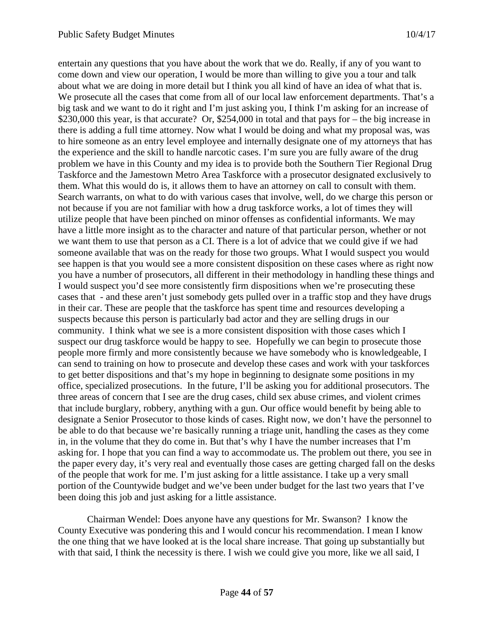entertain any questions that you have about the work that we do. Really, if any of you want to come down and view our operation, I would be more than willing to give you a tour and talk about what we are doing in more detail but I think you all kind of have an idea of what that is. We prosecute all the cases that come from all of our local law enforcement departments. That's a big task and we want to do it right and I'm just asking you, I think I'm asking for an increase of \$230,000 this year, is that accurate? Or, \$254,000 in total and that pays for – the big increase in there is adding a full time attorney. Now what I would be doing and what my proposal was, was to hire someone as an entry level employee and internally designate one of my attorneys that has the experience and the skill to handle narcotic cases. I'm sure you are fully aware of the drug problem we have in this County and my idea is to provide both the Southern Tier Regional Drug Taskforce and the Jamestown Metro Area Taskforce with a prosecutor designated exclusively to them. What this would do is, it allows them to have an attorney on call to consult with them. Search warrants, on what to do with various cases that involve, well, do we charge this person or not because if you are not familiar with how a drug taskforce works, a lot of times they will utilize people that have been pinched on minor offenses as confidential informants. We may have a little more insight as to the character and nature of that particular person, whether or not we want them to use that person as a CI. There is a lot of advice that we could give if we had someone available that was on the ready for those two groups. What I would suspect you would see happen is that you would see a more consistent disposition on these cases where as right now you have a number of prosecutors, all different in their methodology in handling these things and I would suspect you'd see more consistently firm dispositions when we're prosecuting these cases that - and these aren't just somebody gets pulled over in a traffic stop and they have drugs in their car. These are people that the taskforce has spent time and resources developing a suspects because this person is particularly bad actor and they are selling drugs in our community. I think what we see is a more consistent disposition with those cases which I suspect our drug taskforce would be happy to see. Hopefully we can begin to prosecute those people more firmly and more consistently because we have somebody who is knowledgeable, I can send to training on how to prosecute and develop these cases and work with your taskforces to get better dispositions and that's my hope in beginning to designate some positions in my office, specialized prosecutions. In the future, I'll be asking you for additional prosecutors. The three areas of concern that I see are the drug cases, child sex abuse crimes, and violent crimes that include burglary, robbery, anything with a gun. Our office would benefit by being able to designate a Senior Prosecutor to those kinds of cases. Right now, we don't have the personnel to be able to do that because we're basically running a triage unit, handling the cases as they come in, in the volume that they do come in. But that's why I have the number increases that I'm asking for. I hope that you can find a way to accommodate us. The problem out there, you see in the paper every day, it's very real and eventually those cases are getting charged fall on the desks of the people that work for me. I'm just asking for a little assistance. I take up a very small portion of the Countywide budget and we've been under budget for the last two years that I've been doing this job and just asking for a little assistance.

Chairman Wendel: Does anyone have any questions for Mr. Swanson? I know the County Executive was pondering this and I would concur his recommendation. I mean I know the one thing that we have looked at is the local share increase. That going up substantially but with that said, I think the necessity is there. I wish we could give you more, like we all said, I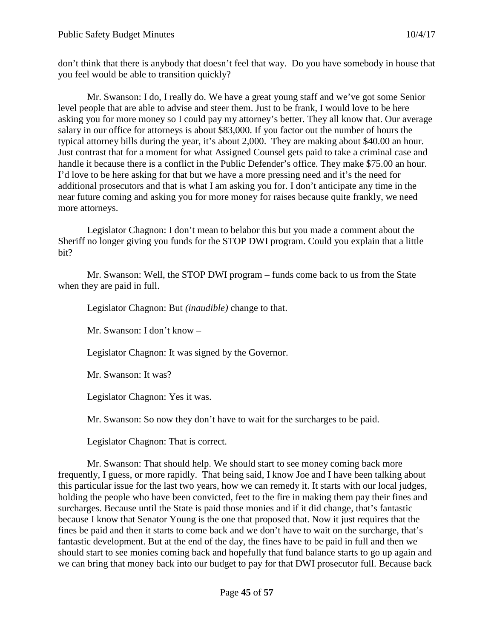don't think that there is anybody that doesn't feel that way. Do you have somebody in house that you feel would be able to transition quickly?

Mr. Swanson: I do, I really do. We have a great young staff and we've got some Senior level people that are able to advise and steer them. Just to be frank, I would love to be here asking you for more money so I could pay my attorney's better. They all know that. Our average salary in our office for attorneys is about \$83,000. If you factor out the number of hours the typical attorney bills during the year, it's about 2,000. They are making about \$40.00 an hour. Just contrast that for a moment for what Assigned Counsel gets paid to take a criminal case and handle it because there is a conflict in the Public Defender's office. They make \$75.00 an hour. I'd love to be here asking for that but we have a more pressing need and it's the need for additional prosecutors and that is what I am asking you for. I don't anticipate any time in the near future coming and asking you for more money for raises because quite frankly, we need more attorneys.

Legislator Chagnon: I don't mean to belabor this but you made a comment about the Sheriff no longer giving you funds for the STOP DWI program. Could you explain that a little bit?

Mr. Swanson: Well, the STOP DWI program – funds come back to us from the State when they are paid in full.

Legislator Chagnon: But *(inaudible)* change to that.

Mr. Swanson: I don't know –

Legislator Chagnon: It was signed by the Governor.

Mr. Swanson: It was?

Legislator Chagnon: Yes it was.

Mr. Swanson: So now they don't have to wait for the surcharges to be paid.

Legislator Chagnon: That is correct.

Mr. Swanson: That should help. We should start to see money coming back more frequently, I guess, or more rapidly. That being said, I know Joe and I have been talking about this particular issue for the last two years, how we can remedy it. It starts with our local judges, holding the people who have been convicted, feet to the fire in making them pay their fines and surcharges. Because until the State is paid those monies and if it did change, that's fantastic because I know that Senator Young is the one that proposed that. Now it just requires that the fines be paid and then it starts to come back and we don't have to wait on the surcharge, that's fantastic development. But at the end of the day, the fines have to be paid in full and then we should start to see monies coming back and hopefully that fund balance starts to go up again and we can bring that money back into our budget to pay for that DWI prosecutor full. Because back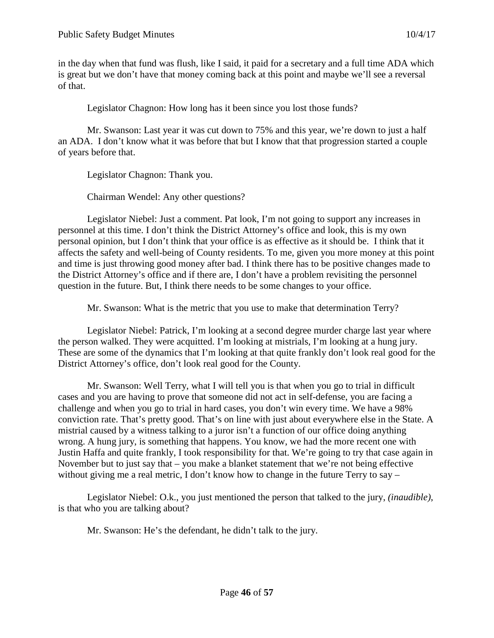in the day when that fund was flush, like I said, it paid for a secretary and a full time ADA which is great but we don't have that money coming back at this point and maybe we'll see a reversal of that.

Legislator Chagnon: How long has it been since you lost those funds?

Mr. Swanson: Last year it was cut down to 75% and this year, we're down to just a half an ADA. I don't know what it was before that but I know that that progression started a couple of years before that.

Legislator Chagnon: Thank you.

Chairman Wendel: Any other questions?

Legislator Niebel: Just a comment. Pat look, I'm not going to support any increases in personnel at this time. I don't think the District Attorney's office and look, this is my own personal opinion, but I don't think that your office is as effective as it should be. I think that it affects the safety and well-being of County residents. To me, given you more money at this point and time is just throwing good money after bad. I think there has to be positive changes made to the District Attorney's office and if there are, I don't have a problem revisiting the personnel question in the future. But, I think there needs to be some changes to your office.

Mr. Swanson: What is the metric that you use to make that determination Terry?

Legislator Niebel: Patrick, I'm looking at a second degree murder charge last year where the person walked. They were acquitted. I'm looking at mistrials, I'm looking at a hung jury. These are some of the dynamics that I'm looking at that quite frankly don't look real good for the District Attorney's office, don't look real good for the County.

Mr. Swanson: Well Terry, what I will tell you is that when you go to trial in difficult cases and you are having to prove that someone did not act in self-defense, you are facing a challenge and when you go to trial in hard cases, you don't win every time. We have a 98% conviction rate. That's pretty good. That's on line with just about everywhere else in the State. A mistrial caused by a witness talking to a juror isn't a function of our office doing anything wrong. A hung jury, is something that happens. You know, we had the more recent one with Justin Haffa and quite frankly, I took responsibility for that. We're going to try that case again in November but to just say that – you make a blanket statement that we're not being effective without giving me a real metric, I don't know how to change in the future Terry to say  $-$ 

Legislator Niebel: O.k., you just mentioned the person that talked to the jury, *(inaudible)*, is that who you are talking about?

Mr. Swanson: He's the defendant, he didn't talk to the jury.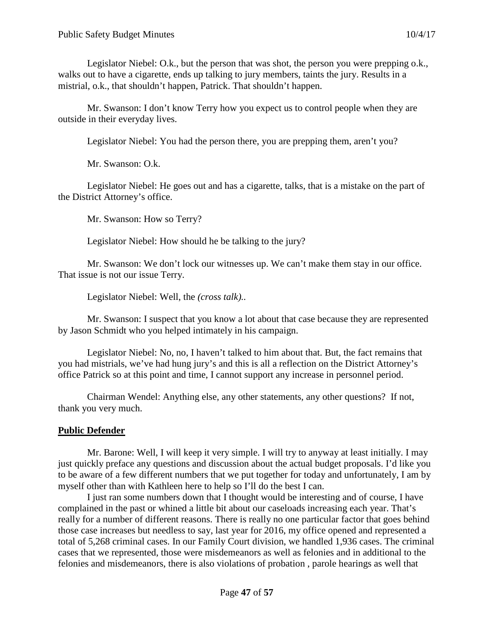Legislator Niebel: O.k., but the person that was shot, the person you were prepping o.k., walks out to have a cigarette, ends up talking to jury members, taints the jury. Results in a mistrial, o.k., that shouldn't happen, Patrick. That shouldn't happen.

Mr. Swanson: I don't know Terry how you expect us to control people when they are outside in their everyday lives.

Legislator Niebel: You had the person there, you are prepping them, aren't you?

Mr. Swanson: O.k.

Legislator Niebel: He goes out and has a cigarette, talks, that is a mistake on the part of the District Attorney's office.

Mr. Swanson: How so Terry?

Legislator Niebel: How should he be talking to the jury?

Mr. Swanson: We don't lock our witnesses up. We can't make them stay in our office. That issue is not our issue Terry.

Legislator Niebel: Well, the *(cross talk)..*

Mr. Swanson: I suspect that you know a lot about that case because they are represented by Jason Schmidt who you helped intimately in his campaign.

Legislator Niebel: No, no, I haven't talked to him about that. But, the fact remains that you had mistrials, we've had hung jury's and this is all a reflection on the District Attorney's office Patrick so at this point and time, I cannot support any increase in personnel period.

Chairman Wendel: Anything else, any other statements, any other questions? If not, thank you very much.

### **Public Defender**

Mr. Barone: Well, I will keep it very simple. I will try to anyway at least initially. I may just quickly preface any questions and discussion about the actual budget proposals. I'd like you to be aware of a few different numbers that we put together for today and unfortunately, I am by myself other than with Kathleen here to help so I'll do the best I can.

I just ran some numbers down that I thought would be interesting and of course, I have complained in the past or whined a little bit about our caseloads increasing each year. That's really for a number of different reasons. There is really no one particular factor that goes behind those case increases but needless to say, last year for 2016, my office opened and represented a total of 5,268 criminal cases. In our Family Court division, we handled 1,936 cases. The criminal cases that we represented, those were misdemeanors as well as felonies and in additional to the felonies and misdemeanors, there is also violations of probation , parole hearings as well that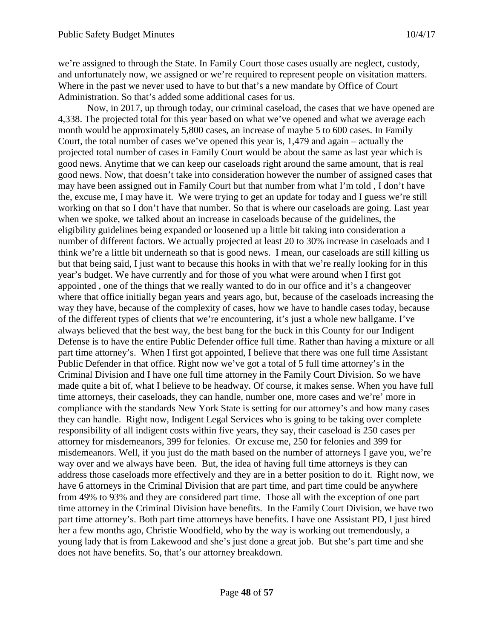we're assigned to through the State. In Family Court those cases usually are neglect, custody, and unfortunately now, we assigned or we're required to represent people on visitation matters. Where in the past we never used to have to but that's a new mandate by Office of Court Administration. So that's added some additional cases for us.

Now, in 2017, up through today, our criminal caseload, the cases that we have opened are 4,338. The projected total for this year based on what we've opened and what we average each month would be approximately 5,800 cases, an increase of maybe 5 to 600 cases. In Family Court, the total number of cases we've opened this year is, 1,479 and again – actually the projected total number of cases in Family Court would be about the same as last year which is good news. Anytime that we can keep our caseloads right around the same amount, that is real good news. Now, that doesn't take into consideration however the number of assigned cases that may have been assigned out in Family Court but that number from what I'm told , I don't have the, excuse me, I may have it. We were trying to get an update for today and I guess we're still working on that so I don't have that number. So that is where our caseloads are going. Last year when we spoke, we talked about an increase in caseloads because of the guidelines, the eligibility guidelines being expanded or loosened up a little bit taking into consideration a number of different factors. We actually projected at least 20 to 30% increase in caseloads and I think we're a little bit underneath so that is good news. I mean, our caseloads are still killing us but that being said, I just want to because this hooks in with that we're really looking for in this year's budget. We have currently and for those of you what were around when I first got appointed , one of the things that we really wanted to do in our office and it's a changeover where that office initially began years and years ago, but, because of the caseloads increasing the way they have, because of the complexity of cases, how we have to handle cases today, because of the different types of clients that we're encountering, it's just a whole new ballgame. I've always believed that the best way, the best bang for the buck in this County for our Indigent Defense is to have the entire Public Defender office full time. Rather than having a mixture or all part time attorney's. When I first got appointed, I believe that there was one full time Assistant Public Defender in that office. Right now we've got a total of 5 full time attorney's in the Criminal Division and I have one full time attorney in the Family Court Division. So we have made quite a bit of, what I believe to be headway. Of course, it makes sense. When you have full time attorneys, their caseloads, they can handle, number one, more cases and we're' more in compliance with the standards New York State is setting for our attorney's and how many cases they can handle. Right now, Indigent Legal Services who is going to be taking over complete responsibility of all indigent costs within five years, they say, their caseload is 250 cases per attorney for misdemeanors, 399 for felonies. Or excuse me, 250 for felonies and 399 for misdemeanors. Well, if you just do the math based on the number of attorneys I gave you, we're way over and we always have been. But, the idea of having full time attorneys is they can address those caseloads more effectively and they are in a better position to do it. Right now, we have 6 attorneys in the Criminal Division that are part time, and part time could be anywhere from 49% to 93% and they are considered part time. Those all with the exception of one part time attorney in the Criminal Division have benefits. In the Family Court Division, we have two part time attorney's. Both part time attorneys have benefits. I have one Assistant PD, I just hired her a few months ago, Christie Woodfield, who by the way is working out tremendously, a young lady that is from Lakewood and she's just done a great job. But she's part time and she does not have benefits. So, that's our attorney breakdown.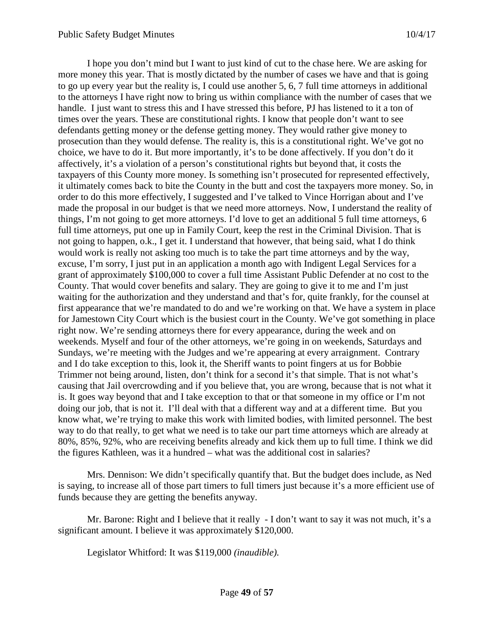I hope you don't mind but I want to just kind of cut to the chase here. We are asking for more money this year. That is mostly dictated by the number of cases we have and that is going to go up every year but the reality is, I could use another 5, 6, 7 full time attorneys in additional to the attorneys I have right now to bring us within compliance with the number of cases that we handle. I just want to stress this and I have stressed this before, PJ has listened to it a ton of times over the years. These are constitutional rights. I know that people don't want to see defendants getting money or the defense getting money. They would rather give money to prosecution than they would defense. The reality is, this is a constitutional right. We've got no choice, we have to do it. But more importantly, it's to be done affectively. If you don't do it affectively, it's a violation of a person's constitutional rights but beyond that, it costs the taxpayers of this County more money. Is something isn't prosecuted for represented effectively, it ultimately comes back to bite the County in the butt and cost the taxpayers more money. So, in order to do this more effectively, I suggested and I've talked to Vince Horrigan about and I've made the proposal in our budget is that we need more attorneys. Now, I understand the reality of things, I'm not going to get more attorneys. I'd love to get an additional 5 full time attorneys, 6 full time attorneys, put one up in Family Court, keep the rest in the Criminal Division. That is not going to happen, o.k., I get it. I understand that however, that being said, what I do think would work is really not asking too much is to take the part time attorneys and by the way, excuse, I'm sorry, I just put in an application a month ago with Indigent Legal Services for a grant of approximately \$100,000 to cover a full time Assistant Public Defender at no cost to the County. That would cover benefits and salary. They are going to give it to me and I'm just waiting for the authorization and they understand and that's for, quite frankly, for the counsel at first appearance that we're mandated to do and we're working on that. We have a system in place for Jamestown City Court which is the busiest court in the County. We've got something in place right now. We're sending attorneys there for every appearance, during the week and on weekends. Myself and four of the other attorneys, we're going in on weekends, Saturdays and Sundays, we're meeting with the Judges and we're appearing at every arraignment. Contrary and I do take exception to this, look it, the Sheriff wants to point fingers at us for Bobbie Trimmer not being around, listen, don't think for a second it's that simple. That is not what's causing that Jail overcrowding and if you believe that, you are wrong, because that is not what it is. It goes way beyond that and I take exception to that or that someone in my office or I'm not doing our job, that is not it. I'll deal with that a different way and at a different time. But you know what, we're trying to make this work with limited bodies, with limited personnel. The best way to do that really, to get what we need is to take our part time attorneys which are already at 80%, 85%, 92%, who are receiving benefits already and kick them up to full time. I think we did the figures Kathleen, was it a hundred – what was the additional cost in salaries?

Mrs. Dennison: We didn't specifically quantify that. But the budget does include, as Ned is saying, to increase all of those part timers to full timers just because it's a more efficient use of funds because they are getting the benefits anyway.

Mr. Barone: Right and I believe that it really - I don't want to say it was not much, it's a significant amount. I believe it was approximately \$120,000.

Legislator Whitford: It was \$119,000 *(inaudible).*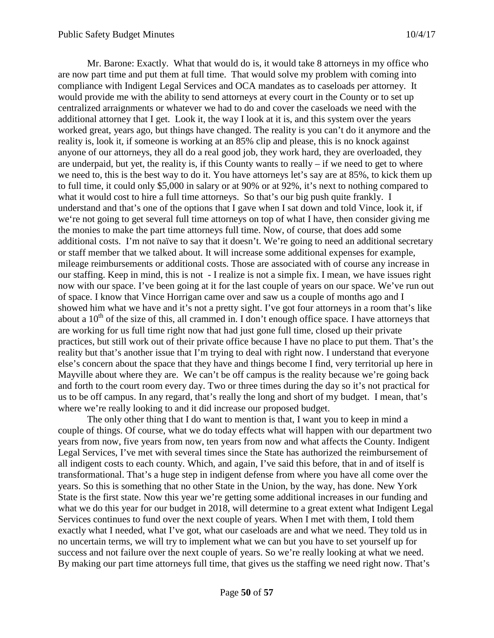Mr. Barone: Exactly. What that would do is, it would take 8 attorneys in my office who are now part time and put them at full time. That would solve my problem with coming into compliance with Indigent Legal Services and OCA mandates as to caseloads per attorney. It would provide me with the ability to send attorneys at every court in the County or to set up centralized arraignments or whatever we had to do and cover the caseloads we need with the additional attorney that I get. Look it, the way I look at it is, and this system over the years worked great, years ago, but things have changed. The reality is you can't do it anymore and the reality is, look it, if someone is working at an 85% clip and please, this is no knock against anyone of our attorneys, they all do a real good job, they work hard, they are overloaded, they are underpaid, but yet, the reality is, if this County wants to really  $-$  if we need to get to where we need to, this is the best way to do it. You have attorneys let's say are at 85%, to kick them up to full time, it could only \$5,000 in salary or at 90% or at 92%, it's next to nothing compared to what it would cost to hire a full time attorneys. So that's our big push quite frankly. I understand and that's one of the options that I gave when I sat down and told Vince, look it, if we're not going to get several full time attorneys on top of what I have, then consider giving me the monies to make the part time attorneys full time. Now, of course, that does add some additional costs. I'm not naïve to say that it doesn't. We're going to need an additional secretary or staff member that we talked about. It will increase some additional expenses for example, mileage reimbursements or additional costs. Those are associated with of course any increase in our staffing. Keep in mind, this is not - I realize is not a simple fix. I mean, we have issues right now with our space. I've been going at it for the last couple of years on our space. We've run out of space. I know that Vince Horrigan came over and saw us a couple of months ago and I showed him what we have and it's not a pretty sight. I've got four attorneys in a room that's like about a  $10<sup>th</sup>$  of the size of this, all crammed in. I don't enough office space. I have attorneys that are working for us full time right now that had just gone full time, closed up their private practices, but still work out of their private office because I have no place to put them. That's the reality but that's another issue that I'm trying to deal with right now. I understand that everyone else's concern about the space that they have and things become I find, very territorial up here in Mayville about where they are. We can't be off campus is the reality because we're going back and forth to the court room every day. Two or three times during the day so it's not practical for us to be off campus. In any regard, that's really the long and short of my budget. I mean, that's where we're really looking to and it did increase our proposed budget.

The only other thing that I do want to mention is that, I want you to keep in mind a couple of things. Of course, what we do today effects what will happen with our department two years from now, five years from now, ten years from now and what affects the County. Indigent Legal Services, I've met with several times since the State has authorized the reimbursement of all indigent costs to each county. Which, and again, I've said this before, that in and of itself is transformational. That's a huge step in indigent defense from where you have all come over the years. So this is something that no other State in the Union, by the way, has done. New York State is the first state. Now this year we're getting some additional increases in our funding and what we do this year for our budget in 2018, will determine to a great extent what Indigent Legal Services continues to fund over the next couple of years. When I met with them, I told them exactly what I needed, what I've got, what our caseloads are and what we need. They told us in no uncertain terms, we will try to implement what we can but you have to set yourself up for success and not failure over the next couple of years. So we're really looking at what we need. By making our part time attorneys full time, that gives us the staffing we need right now. That's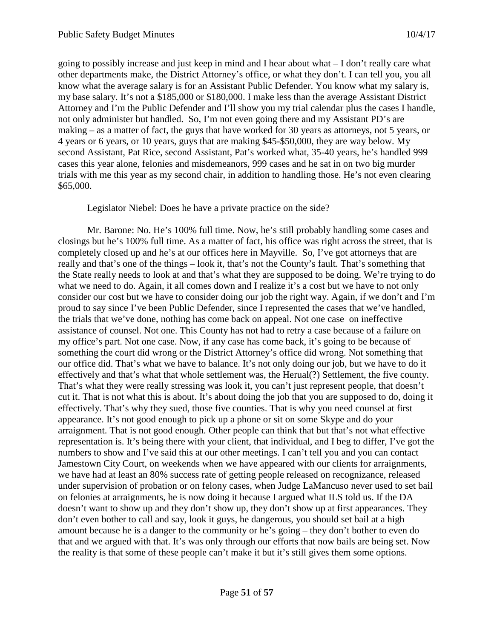going to possibly increase and just keep in mind and I hear about what – I don't really care what other departments make, the District Attorney's office, or what they don't. I can tell you, you all know what the average salary is for an Assistant Public Defender. You know what my salary is, my base salary. It's not a \$185,000 or \$180,000. I make less than the average Assistant District Attorney and I'm the Public Defender and I'll show you my trial calendar plus the cases I handle, not only administer but handled. So, I'm not even going there and my Assistant PD's are making – as a matter of fact, the guys that have worked for 30 years as attorneys, not 5 years, or 4 years or 6 years, or 10 years, guys that are making \$45-\$50,000, they are way below. My second Assistant, Pat Rice, second Assistant, Pat's worked what, 35-40 years, he's handled 999 cases this year alone, felonies and misdemeanors, 999 cases and he sat in on two big murder trials with me this year as my second chair, in addition to handling those. He's not even clearing \$65,000.

Legislator Niebel: Does he have a private practice on the side?

Mr. Barone: No. He's 100% full time. Now, he's still probably handling some cases and closings but he's 100% full time. As a matter of fact, his office was right across the street, that is completely closed up and he's at our offices here in Mayville. So, I've got attorneys that are really and that's one of the things – look it, that's not the County's fault. That's something that the State really needs to look at and that's what they are supposed to be doing. We're trying to do what we need to do. Again, it all comes down and I realize it's a cost but we have to not only consider our cost but we have to consider doing our job the right way. Again, if we don't and I'm proud to say since I've been Public Defender, since I represented the cases that we've handled, the trials that we've done, nothing has come back on appeal. Not one case on ineffective assistance of counsel. Not one. This County has not had to retry a case because of a failure on my office's part. Not one case. Now, if any case has come back, it's going to be because of something the court did wrong or the District Attorney's office did wrong. Not something that our office did. That's what we have to balance. It's not only doing our job, but we have to do it effectively and that's what that whole settlement was, the Herual(?) Settlement, the five county. That's what they were really stressing was look it, you can't just represent people, that doesn't cut it. That is not what this is about. It's about doing the job that you are supposed to do, doing it effectively. That's why they sued, those five counties. That is why you need counsel at first appearance. It's not good enough to pick up a phone or sit on some Skype and do your arraignment. That is not good enough. Other people can think that but that's not what effective representation is. It's being there with your client, that individual, and I beg to differ, I've got the numbers to show and I've said this at our other meetings. I can't tell you and you can contact Jamestown City Court, on weekends when we have appeared with our clients for arraignments, we have had at least an 80% success rate of getting people released on recognizance, released under supervision of probation or on felony cases, when Judge LaMancuso never used to set bail on felonies at arraignments, he is now doing it because I argued what ILS told us. If the DA doesn't want to show up and they don't show up, they don't show up at first appearances. They don't even bother to call and say, look it guys, he dangerous, you should set bail at a high amount because he is a danger to the community or he's going – they don't bother to even do that and we argued with that. It's was only through our efforts that now bails are being set. Now the reality is that some of these people can't make it but it's still gives them some options.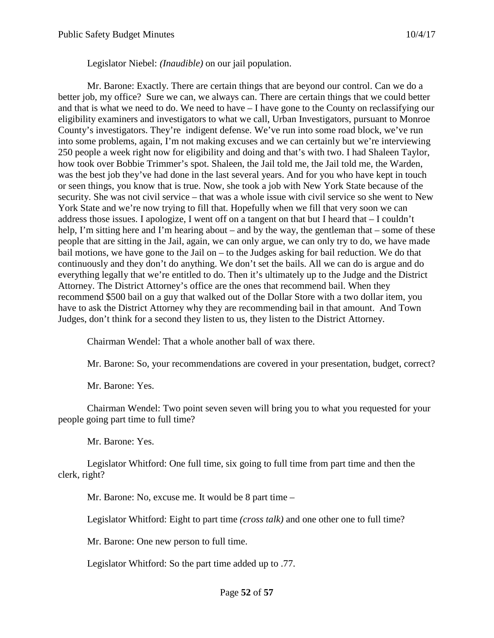Legislator Niebel: *(Inaudible)* on our jail population.

Mr. Barone: Exactly. There are certain things that are beyond our control. Can we do a better job, my office? Sure we can, we always can. There are certain things that we could better and that is what we need to do. We need to have – I have gone to the County on reclassifying our eligibility examiners and investigators to what we call, Urban Investigators, pursuant to Monroe County's investigators. They're indigent defense. We've run into some road block, we've run into some problems, again, I'm not making excuses and we can certainly but we're interviewing 250 people a week right now for eligibility and doing and that's with two. I had Shaleen Taylor, how took over Bobbie Trimmer's spot. Shaleen, the Jail told me, the Jail told me, the Warden, was the best job they've had done in the last several years. And for you who have kept in touch or seen things, you know that is true. Now, she took a job with New York State because of the security. She was not civil service – that was a whole issue with civil service so she went to New York State and we're now trying to fill that. Hopefully when we fill that very soon we can address those issues. I apologize, I went off on a tangent on that but I heard that  $-I$  couldn't help, I'm sitting here and I'm hearing about – and by the way, the gentleman that – some of these people that are sitting in the Jail, again, we can only argue, we can only try to do, we have made bail motions, we have gone to the Jail on – to the Judges asking for bail reduction. We do that continuously and they don't do anything. We don't set the bails. All we can do is argue and do everything legally that we're entitled to do. Then it's ultimately up to the Judge and the District Attorney. The District Attorney's office are the ones that recommend bail. When they recommend \$500 bail on a guy that walked out of the Dollar Store with a two dollar item, you have to ask the District Attorney why they are recommending bail in that amount. And Town Judges, don't think for a second they listen to us, they listen to the District Attorney.

Chairman Wendel: That a whole another ball of wax there.

Mr. Barone: So, your recommendations are covered in your presentation, budget, correct?

Mr. Barone: Yes.

Chairman Wendel: Two point seven seven will bring you to what you requested for your people going part time to full time?

Mr. Barone: Yes.

Legislator Whitford: One full time, six going to full time from part time and then the clerk, right?

Mr. Barone: No, excuse me. It would be 8 part time –

Legislator Whitford: Eight to part time *(cross talk)* and one other one to full time?

Mr. Barone: One new person to full time.

Legislator Whitford: So the part time added up to .77.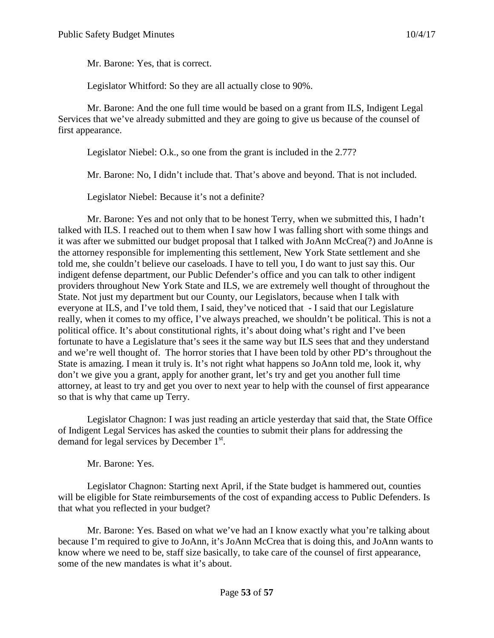Mr. Barone: Yes, that is correct.

Legislator Whitford: So they are all actually close to 90%.

Mr. Barone: And the one full time would be based on a grant from ILS, Indigent Legal Services that we've already submitted and they are going to give us because of the counsel of first appearance.

Legislator Niebel: O.k., so one from the grant is included in the 2.77?

Mr. Barone: No, I didn't include that. That's above and beyond. That is not included.

Legislator Niebel: Because it's not a definite?

Mr. Barone: Yes and not only that to be honest Terry, when we submitted this, I hadn't talked with ILS. I reached out to them when I saw how I was falling short with some things and it was after we submitted our budget proposal that I talked with JoAnn McCrea(?) and JoAnne is the attorney responsible for implementing this settlement, New York State settlement and she told me, she couldn't believe our caseloads. I have to tell you, I do want to just say this. Our indigent defense department, our Public Defender's office and you can talk to other indigent providers throughout New York State and ILS, we are extremely well thought of throughout the State. Not just my department but our County, our Legislators, because when I talk with everyone at ILS, and I've told them, I said, they've noticed that - I said that our Legislature really, when it comes to my office, I've always preached, we shouldn't be political. This is not a political office. It's about constitutional rights, it's about doing what's right and I've been fortunate to have a Legislature that's sees it the same way but ILS sees that and they understand and we're well thought of. The horror stories that I have been told by other PD's throughout the State is amazing. I mean it truly is. It's not right what happens so JoAnn told me, look it, why don't we give you a grant, apply for another grant, let's try and get you another full time attorney, at least to try and get you over to next year to help with the counsel of first appearance so that is why that came up Terry.

Legislator Chagnon: I was just reading an article yesterday that said that, the State Office of Indigent Legal Services has asked the counties to submit their plans for addressing the demand for legal services by December 1<sup>st</sup>.

Mr. Barone: Yes.

Legislator Chagnon: Starting next April, if the State budget is hammered out, counties will be eligible for State reimbursements of the cost of expanding access to Public Defenders. Is that what you reflected in your budget?

Mr. Barone: Yes. Based on what we've had an I know exactly what you're talking about because I'm required to give to JoAnn, it's JoAnn McCrea that is doing this, and JoAnn wants to know where we need to be, staff size basically, to take care of the counsel of first appearance, some of the new mandates is what it's about.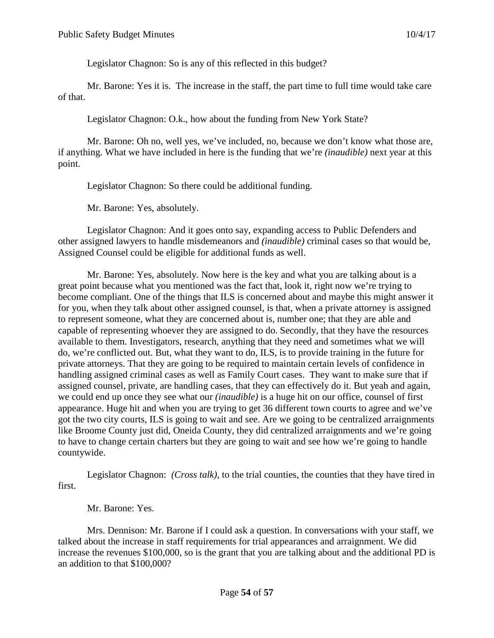Legislator Chagnon: So is any of this reflected in this budget?

Mr. Barone: Yes it is. The increase in the staff, the part time to full time would take care of that.

Legislator Chagnon: O.k., how about the funding from New York State?

Mr. Barone: Oh no, well yes, we've included, no, because we don't know what those are, if anything. What we have included in here is the funding that we're *(inaudible)* next year at this point.

Legislator Chagnon: So there could be additional funding.

Mr. Barone: Yes, absolutely.

Legislator Chagnon: And it goes onto say, expanding access to Public Defenders and other assigned lawyers to handle misdemeanors and *(inaudible)* criminal cases so that would be, Assigned Counsel could be eligible for additional funds as well.

Mr. Barone: Yes, absolutely. Now here is the key and what you are talking about is a great point because what you mentioned was the fact that, look it, right now we're trying to become compliant. One of the things that ILS is concerned about and maybe this might answer it for you, when they talk about other assigned counsel, is that, when a private attorney is assigned to represent someone, what they are concerned about is, number one; that they are able and capable of representing whoever they are assigned to do. Secondly, that they have the resources available to them. Investigators, research, anything that they need and sometimes what we will do, we're conflicted out. But, what they want to do, ILS, is to provide training in the future for private attorneys. That they are going to be required to maintain certain levels of confidence in handling assigned criminal cases as well as Family Court cases. They want to make sure that if assigned counsel, private, are handling cases, that they can effectively do it. But yeah and again, we could end up once they see what our *(inaudible)* is a huge hit on our office, counsel of first appearance. Huge hit and when you are trying to get 36 different town courts to agree and we've got the two city courts, ILS is going to wait and see. Are we going to be centralized arraignments like Broome County just did, Oneida County, they did centralized arraignments and we're going to have to change certain charters but they are going to wait and see how we're going to handle countywide.

Legislator Chagnon: *(Cross talk)*, to the trial counties, the counties that they have tired in first.

Mr. Barone: Yes.

Mrs. Dennison: Mr. Barone if I could ask a question. In conversations with your staff, we talked about the increase in staff requirements for trial appearances and arraignment. We did increase the revenues \$100,000, so is the grant that you are talking about and the additional PD is an addition to that \$100,000?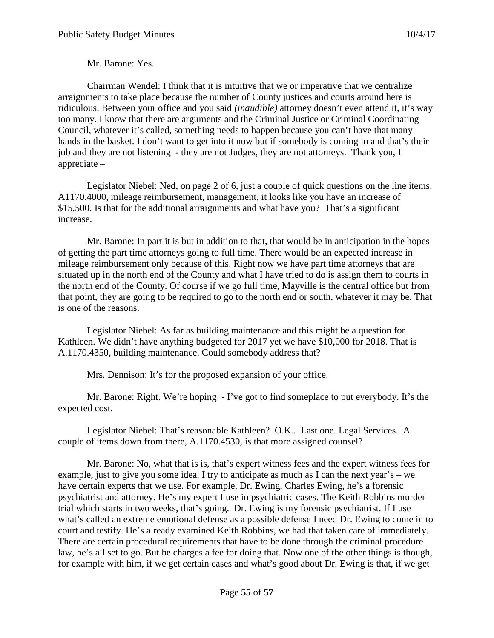Mr. Barone: Yes.

Chairman Wendel: I think that it is intuitive that we or imperative that we centralize arraignments to take place because the number of County justices and courts around here is ridiculous. Between your office and you said *(inaudible)* attorney doesn't even attend it, it's way too many. I know that there are arguments and the Criminal Justice or Criminal Coordinating Council, whatever it's called, something needs to happen because you can't have that many hands in the basket. I don't want to get into it now but if somebody is coming in and that's their job and they are not listening - they are not Judges, they are not attorneys. Thank you, I appreciate –

Legislator Niebel: Ned, on page 2 of 6, just a couple of quick questions on the line items. A1170.4000, mileage reimbursement, management, it looks like you have an increase of \$15,500. Is that for the additional arraignments and what have you? That's a significant increase.

Mr. Barone: In part it is but in addition to that, that would be in anticipation in the hopes of getting the part time attorneys going to full time. There would be an expected increase in mileage reimbursement only because of this. Right now we have part time attorneys that are situated up in the north end of the County and what I have tried to do is assign them to courts in the north end of the County. Of course if we go full time, Mayville is the central office but from that point, they are going to be required to go to the north end or south, whatever it may be. That is one of the reasons.

Legislator Niebel: As far as building maintenance and this might be a question for Kathleen. We didn't have anything budgeted for 2017 yet we have \$10,000 for 2018. That is A.1170.4350, building maintenance. Could somebody address that?

Mrs. Dennison: It's for the proposed expansion of your office.

Mr. Barone: Right. We're hoping - I've got to find someplace to put everybody. It's the expected cost.

Legislator Niebel: That's reasonable Kathleen? O.K.. Last one. Legal Services. A couple of items down from there, A.1170.4530, is that more assigned counsel?

Mr. Barone: No, what that is is, that's expert witness fees and the expert witness fees for example, just to give you some idea. I try to anticipate as much as I can the next year's – we have certain experts that we use. For example, Dr. Ewing, Charles Ewing, he's a forensic psychiatrist and attorney. He's my expert I use in psychiatric cases. The Keith Robbins murder trial which starts in two weeks, that's going. Dr. Ewing is my forensic psychiatrist. If I use what's called an extreme emotional defense as a possible defense I need Dr. Ewing to come in to court and testify. He's already examined Keith Robbins, we had that taken care of immediately. There are certain procedural requirements that have to be done through the criminal procedure law, he's all set to go. But he charges a fee for doing that. Now one of the other things is though, for example with him, if we get certain cases and what's good about Dr. Ewing is that, if we get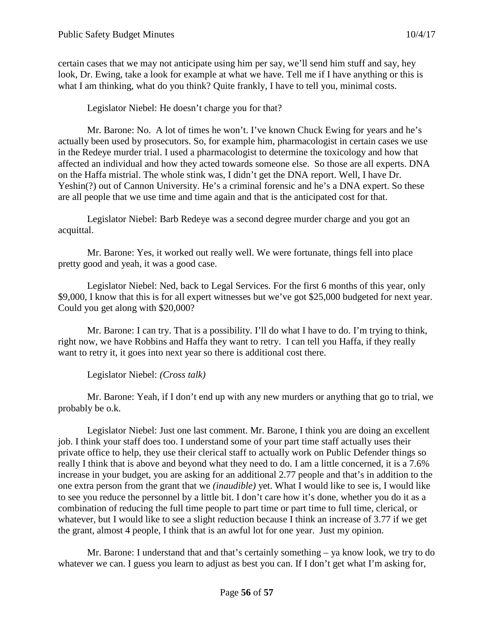certain cases that we may not anticipate using him per say, we'll send him stuff and say, hey look, Dr. Ewing, take a look for example at what we have. Tell me if I have anything or this is what I am thinking, what do you think? Quite frankly, I have to tell you, minimal costs.

Legislator Niebel: He doesn't charge you for that?

Mr. Barone: No. A lot of times he won't. I've known Chuck Ewing for years and he's actually been used by prosecutors. So, for example him, pharmacologist in certain cases we use in the Redeye murder trial. I used a pharmacologist to determine the toxicology and how that affected an individual and how they acted towards someone else. So those are all experts. DNA on the Haffa mistrial. The whole stink was, I didn't get the DNA report. Well, I have Dr. Yeshin(?) out of Cannon University. He's a criminal forensic and he's a DNA expert. So these are all people that we use time and time again and that is the anticipated cost for that.

Legislator Niebel: Barb Redeye was a second degree murder charge and you got an acquittal.

Mr. Barone: Yes, it worked out really well. We were fortunate, things fell into place pretty good and yeah, it was a good case.

Legislator Niebel: Ned, back to Legal Services. For the first 6 months of this year, only \$9,000, I know that this is for all expert witnesses but we've got \$25,000 budgeted for next year. Could you get along with \$20,000?

Mr. Barone: I can try. That is a possibility. I'll do what I have to do. I'm trying to think, right now, we have Robbins and Haffa they want to retry. I can tell you Haffa, if they really want to retry it, it goes into next year so there is additional cost there.

Legislator Niebel: *(Cross talk)*

Mr. Barone: Yeah, if I don't end up with any new murders or anything that go to trial, we probably be o.k.

Legislator Niebel: Just one last comment. Mr. Barone, I think you are doing an excellent job. I think your staff does too. I understand some of your part time staff actually uses their private office to help, they use their clerical staff to actually work on Public Defender things so really I think that is above and beyond what they need to do. I am a little concerned, it is a 7.6% increase in your budget, you are asking for an additional 2.77 people and that's in addition to the one extra person from the grant that we *(inaudible)* yet. What I would like to see is, I would like to see you reduce the personnel by a little bit. I don't care how it's done, whether you do it as a combination of reducing the full time people to part time or part time to full time, clerical, or whatever, but I would like to see a slight reduction because I think an increase of 3.77 if we get the grant, almost 4 people, I think that is an awful lot for one year. Just my opinion.

Mr. Barone: I understand that and that's certainly something – ya know look, we try to do whatever we can. I guess you learn to adjust as best you can. If I don't get what I'm asking for,